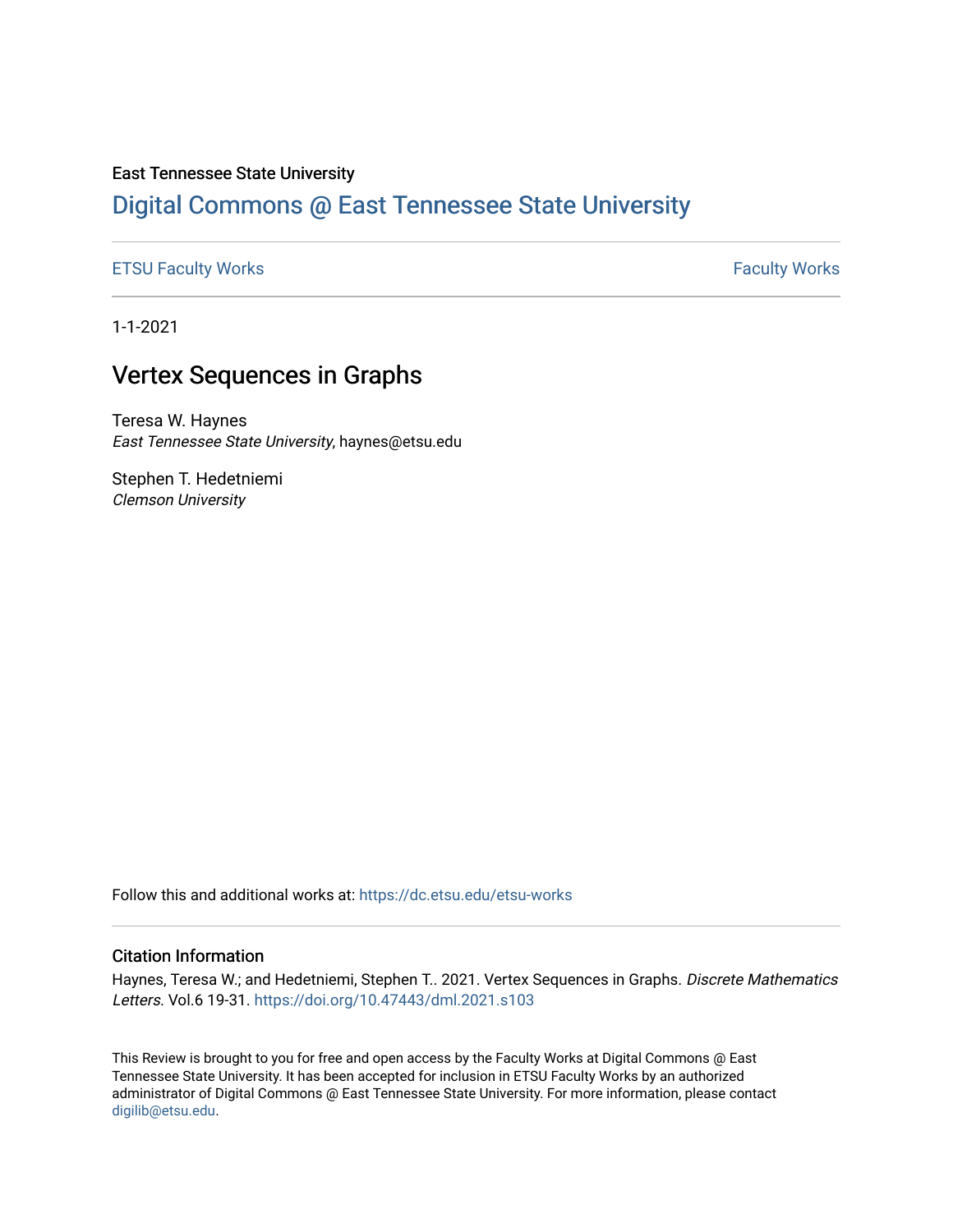## East Tennessee State University

# [Digital Commons @ East Tennessee State University](https://dc.etsu.edu/)

## [ETSU Faculty Works](https://dc.etsu.edu/etsu-works) **Faculty Works** [Faculty Works](https://dc.etsu.edu/faculty-works) **Faculty Works**

1-1-2021

# Vertex Sequences in Graphs

Teresa W. Haynes East Tennessee State University, haynes@etsu.edu

Stephen T. Hedetniemi Clemson University

Follow this and additional works at: [https://dc.etsu.edu/etsu-works](https://dc.etsu.edu/etsu-works?utm_source=dc.etsu.edu%2Fetsu-works%2F9852&utm_medium=PDF&utm_campaign=PDFCoverPages) 

#### Citation Information

Haynes, Teresa W.; and Hedetniemi, Stephen T.. 2021. Vertex Sequences in Graphs. Discrete Mathematics Letters. Vol.6 19-31.<https://doi.org/10.47443/dml.2021.s103>

This Review is brought to you for free and open access by the Faculty Works at Digital Commons @ East Tennessee State University. It has been accepted for inclusion in ETSU Faculty Works by an authorized administrator of Digital Commons @ East Tennessee State University. For more information, please contact [digilib@etsu.edu](mailto:digilib@etsu.edu).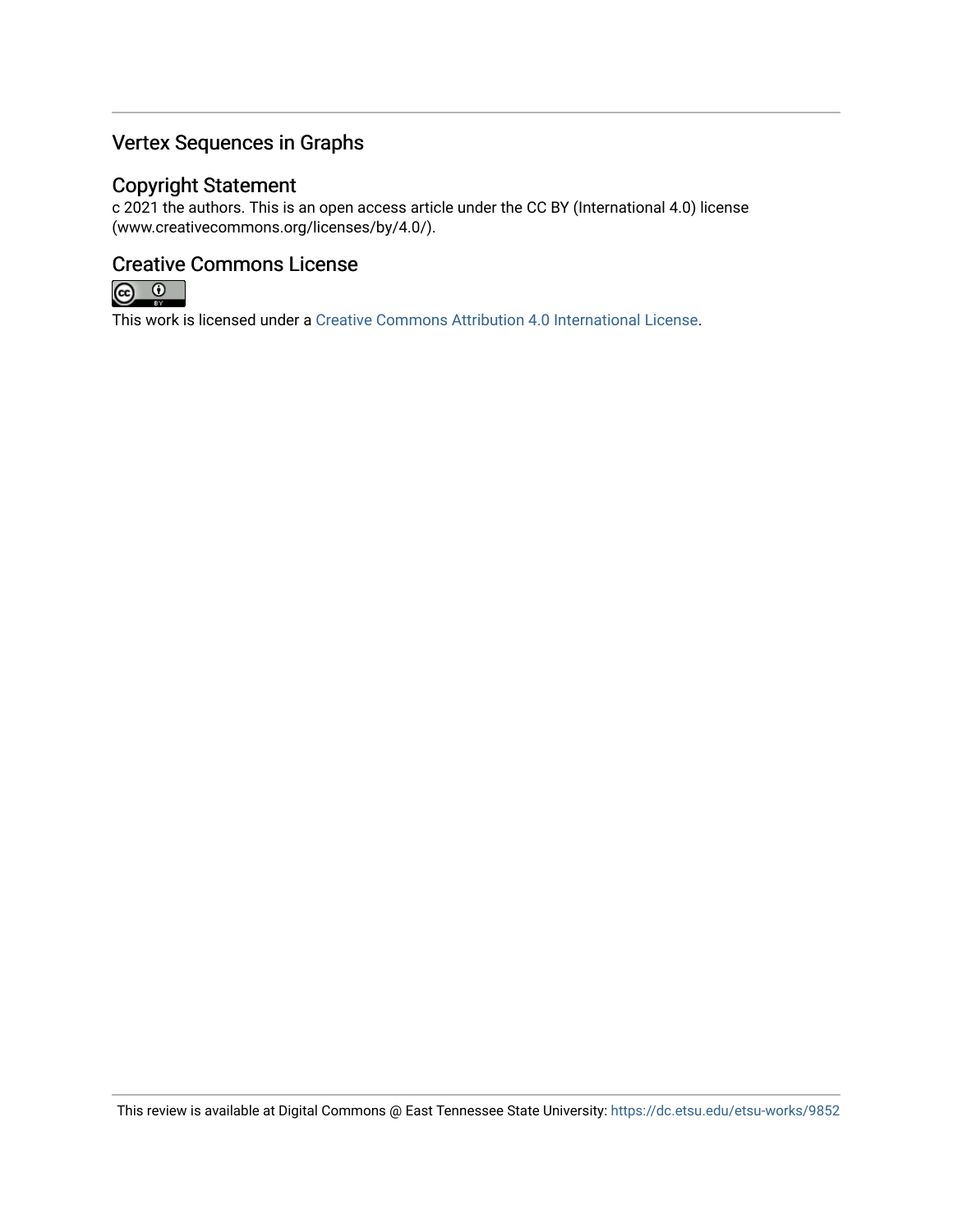# Vertex Sequences in Graphs

## Copyright Statement

c 2021 the authors. This is an open access article under the CC BY (International 4.0) license (www.creativecommons.org/licenses/by/4.0/).

# Creative Commons License



This work is licensed under a [Creative Commons Attribution 4.0 International License.](https://creativecommons.org/licenses/by/4.0/)

This review is available at Digital Commons @ East Tennessee State University: <https://dc.etsu.edu/etsu-works/9852>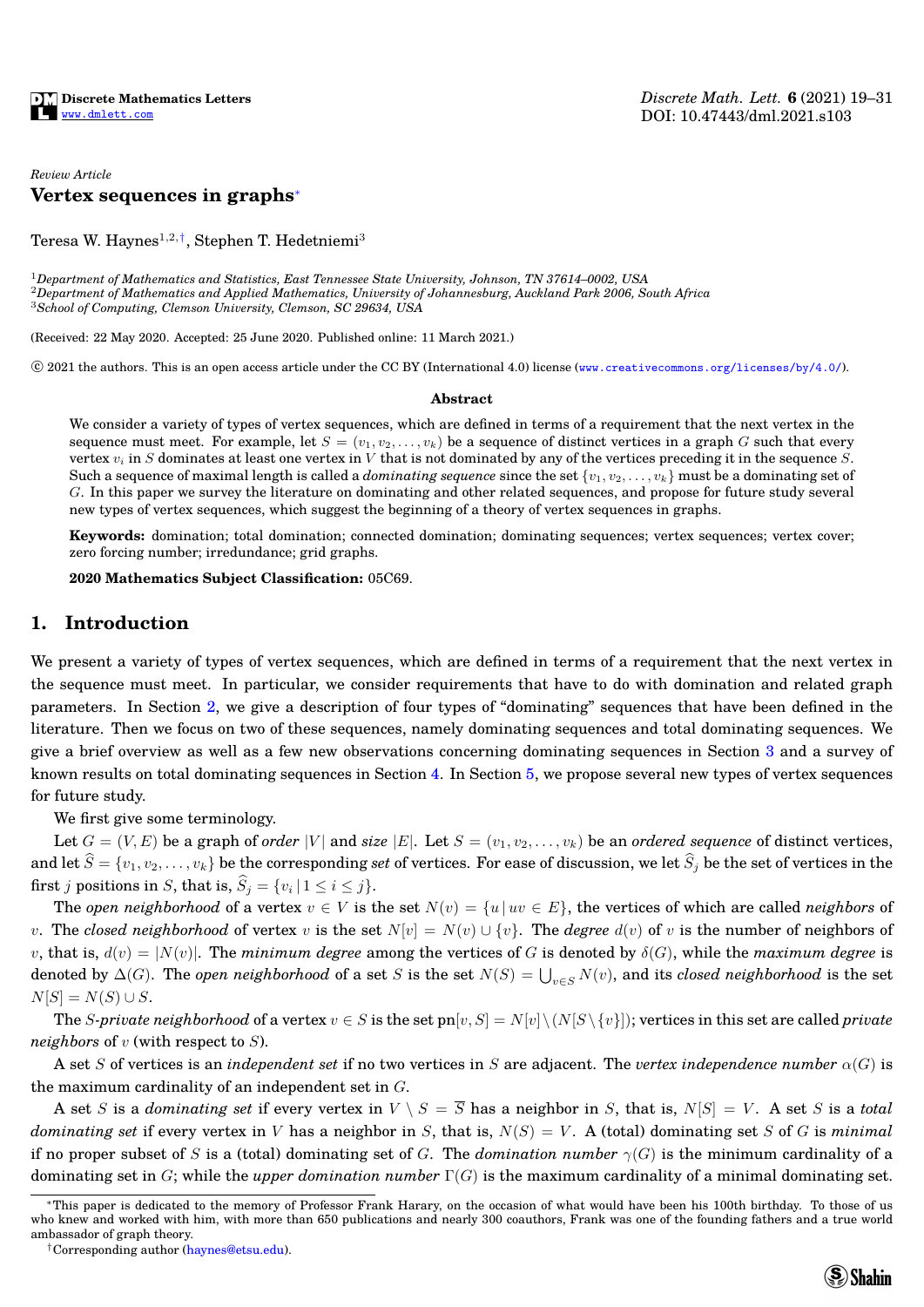## *Review Article* **Vertex sequences in graphs**[∗](#page-2-0)

Teresa W. Haynes $^{1,2,\dagger},$  Stephen T. Hedetniemi $^3$ 

<sup>1</sup>*Department of Mathematics and Statistics, East Tennessee State University, Johnson, TN 37614–0002, USA* <sup>2</sup>*Department of Mathematics and Applied Mathematics, University of Johannesburg, Auckland Park 2006, South Africa* <sup>3</sup>*School of Computing, Clemson University, Clemson, SC 29634, USA*

(Received: 22 May 2020. Accepted: 25 June 2020. Published online: 11 March 2021.)

 $\degree$  2021 the authors. This is an open access article under the CC BY (International 4.0) license (<www.creativecommons.org/licenses/by/4.0/>).

#### **Abstract**

We consider a variety of types of vertex sequences, which are defined in terms of a requirement that the next vertex in the sequence must meet. For example, let  $S = (v_1, v_2, \ldots, v_k)$  be a sequence of distinct vertices in a graph G such that every vertex  $v_i$  in S dominates at least one vertex in V that is not dominated by any of the vertices preceding it in the sequence S. Such a sequence of maximal length is called a *dominating sequence* since the set  $\{v_1, v_2, \ldots, v_k\}$  must be a dominating set of G. In this paper we survey the literature on dominating and other related sequences, and propose for future study several new types of vertex sequences, which suggest the beginning of a theory of vertex sequences in graphs.

**Keywords:** domination; total domination; connected domination; dominating sequences; vertex sequences; vertex cover; zero forcing number; irredundance; grid graphs.

**2020 Mathematics Subject Classification:** 05C69.

## **1. Introduction**

We present a variety of types of vertex sequences, which are defined in terms of a requirement that the next vertex in the sequence must meet. In particular, we consider requirements that have to do with domination and related graph parameters. In Section [2,](#page-3-0) we give a description of four types of "dominating" sequences that have been defined in the literature. Then we focus on two of these sequences, namely dominating sequences and total dominating sequences. We give a brief overview as well as a few new observations concerning dominating sequences in Section [3](#page-5-0) and a survey of known results on total dominating sequences in Section [4.](#page-7-0) In Section [5,](#page-9-0) we propose several new types of vertex sequences for future study.

We first give some terminology.

Let  $G = (V, E)$  be a graph of *order* |V| and *size* |E|. Let  $S = (v_1, v_2, \dots, v_k)$  be an *ordered sequence* of distinct vertices, and let  $\widehat{S} = \{v_1, v_2, \ldots, v_k\}$  be the corresponding *set* of vertices. For ease of discussion, we let  $\widehat{S}_j$  be the set of vertices in the first j positions in S, that is,  $S_j = \{v_i | 1 \le i \le j\}.$ 

The *open neighborhood* of a vertex  $v \in V$  is the set  $N(v) = \{u \mid uv \in E\}$ , the vertices of which are called *neighbors* of v. The *closed neighborhood* of vertex v is the set  $N[v] = N(v) \cup \{v\}$ . The *degree*  $d(v)$  of v is the number of neighbors of v, that is,  $d(v) = |N(v)|$ . The *minimum degree* among the vertices of G is denoted by  $\delta(G)$ , while the *maximum degree* is denoted by  $\Delta(G)$ . The *open neighborhood* of a set S is the set  $N(S) = \bigcup_{v\in S} N(v)$ , and its *closed neighborhood* is the set  $N[S] = N(S) \cup S$ .

The S-private neighborhood of a vertex  $v \in S$  is the set  $pn[v, S] = N[v] \setminus (N[S \setminus \{v\}])$ ; vertices in this set are called *private neighbors* of v (with respect to S).

A set S of vertices is an *independent set* if no two vertices in S are adjacent. The *vertex independence number* α(G) is the maximum cardinality of an independent set in G.

A set S is a *dominating set* if every vertex in  $V \setminus S = \overline{S}$  has a neighbor in S, that is,  $N[S] = V$ . A set S is a *total dominating set* if every vertex in V has a neighbor in S, that is,  $N(S) = V$ . A (total) dominating set S of G is *minimal* if no proper subset of S is a (total) dominating set of G. The *domination number*  $\gamma(G)$  is the minimum cardinality of a dominating set in G; while the *upper domination number* Γ(G) is the maximum cardinality of a minimal dominating set.



<span id="page-2-0"></span><sup>∗</sup>This paper is dedicated to the memory of Professor Frank Harary, on the occasion of what would have been his 100th birthday. To those of us who knew and worked with him, with more than 650 publications and nearly 300 coauthors, Frank was one of the founding fathers and a true world ambassador of graph theory.

<span id="page-2-1"></span><sup>†</sup>Corresponding author [\(haynes@etsu.edu\)](mailto:haynes@etsu.edu).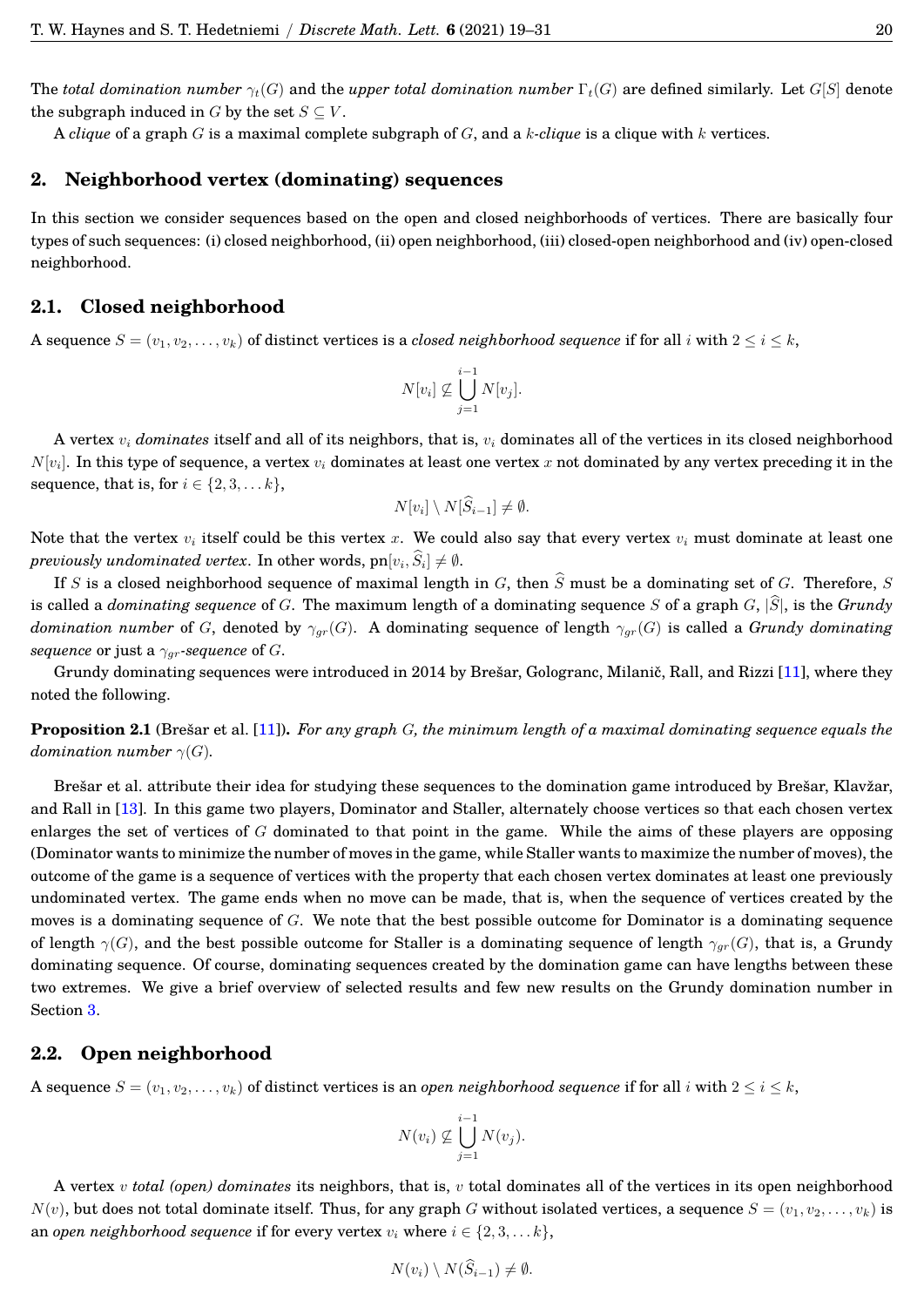The *total domination number*  $\gamma_t(G)$  and the *upper total domination number*  $\Gamma_t(G)$  are defined similarly. Let  $G[S]$  denote the subgraph induced in G by the set  $S \subseteq V$ .

<span id="page-3-0"></span>A *clique* of a graph G is a maximal complete subgraph of G, and a k*-clique* is a clique with k vertices.

## **2. Neighborhood vertex (dominating) sequences**

In this section we consider sequences based on the open and closed neighborhoods of vertices. There are basically four types of such sequences: (i) closed neighborhood, (ii) open neighborhood, (iii) closed-open neighborhood and (iv) open-closed neighborhood.

## **2.1. Closed neighborhood**

A sequence  $S = (v_1, v_2, \ldots, v_k)$  of distinct vertices is a *closed neighborhood sequence* if for all i with  $2 \le i \le k$ ,

$$
N[v_i] \nsubseteq \bigcup_{j=1}^{i-1} N[v_j].
$$

A vertex v<sup>i</sup> *dominates* itself and all of its neighbors, that is, v<sup>i</sup> dominates all of the vertices in its closed neighborhood  $N[v_i].$  In this type of sequence, a vertex  $v_i$  dominates at least one vertex  $x$  not dominated by any vertex preceding it in the sequence, that is, for  $i \in \{2, 3, \ldots k\},\$ 

$$
N[v_i] \setminus N[\widehat{S}_{i-1}] \neq \emptyset.
$$

Note that the vertex  $v_i$  itself could be this vertex x. We could also say that every vertex  $v_i$  must dominate at least one  $previously\ undominated\ vertex.$  In other words,  $\text{pn}[v_i, S_i] \neq \emptyset$ .

If S is a closed neighborhood sequence of maximal length in G, then  $\hat{S}$  must be a dominating set of G. Therefore, S is called a *dominating sequence* of G. The maximum length of a dominating sequence S of a graph  $G$ ,  $|\hat{S}|$ , is the *Grundy domination number* of G, denoted by  $\gamma_{gr}(G)$ . A dominating sequence of length  $\gamma_{gr}(G)$  is called a *Grundy dominating sequence* or just a  $\gamma_{qr}$ -sequence of G.

Grundy dominating sequences were introduced in 2014 by Brešar, Gologranc, Milanič, Rall, and Rizzi [[11\]](#page-14-0), where they noted the following.

**Proposition 2.1** (Bresar et al. [[11\]](#page-14-0)). *For any graph G, the minimum length of a maximal dominating sequence equals the domination number*  $\gamma(G)$ *.* 

Brešar et al. attribute their idea for studying these sequences to the domination game introduced by Brešar, Klavžar, and Rall in [\[13\]](#page-14-1). In this game two players, Dominator and Staller, alternately choose vertices so that each chosen vertex enlarges the set of vertices of  $G$  dominated to that point in the game. While the aims of these players are opposing (Dominator wants to minimize the number of moves in the game, while Staller wants to maximize the number of moves), the outcome of the game is a sequence of vertices with the property that each chosen vertex dominates at least one previously undominated vertex. The game ends when no move can be made, that is, when the sequence of vertices created by the moves is a dominating sequence of  $G$ . We note that the best possible outcome for Dominator is a dominating sequence of length  $\gamma(G)$ , and the best possible outcome for Staller is a dominating sequence of length  $\gamma_{gr}(G)$ , that is, a Grundy dominating sequence. Of course, dominating sequences created by the domination game can have lengths between these two extremes. We give a brief overview of selected results and few new results on the Grundy domination number in Section [3.](#page-5-0)

#### **2.2. Open neighborhood**

A sequence  $S = (v_1, v_2, \ldots, v_k)$  of distinct vertices is an *open neighborhood sequence* if for all i with  $2 \le i \le k$ ,

$$
N(v_i) \nsubseteq \bigcup_{j=1}^{i-1} N(v_j).
$$

A vertex v *total (open) dominates* its neighbors, that is, v total dominates all of the vertices in its open neighborhood  $N(v)$ , but does not total dominate itself. Thus, for any graph G without isolated vertices, a sequence  $S = (v_1, v_2, \ldots, v_k)$  is an *open neighborhood sequence* if for every vertex  $v_i$  where  $i \in \{2, 3, \ldots, k\}$ ,

$$
N(v_i) \setminus N(S_{i-1}) \neq \emptyset.
$$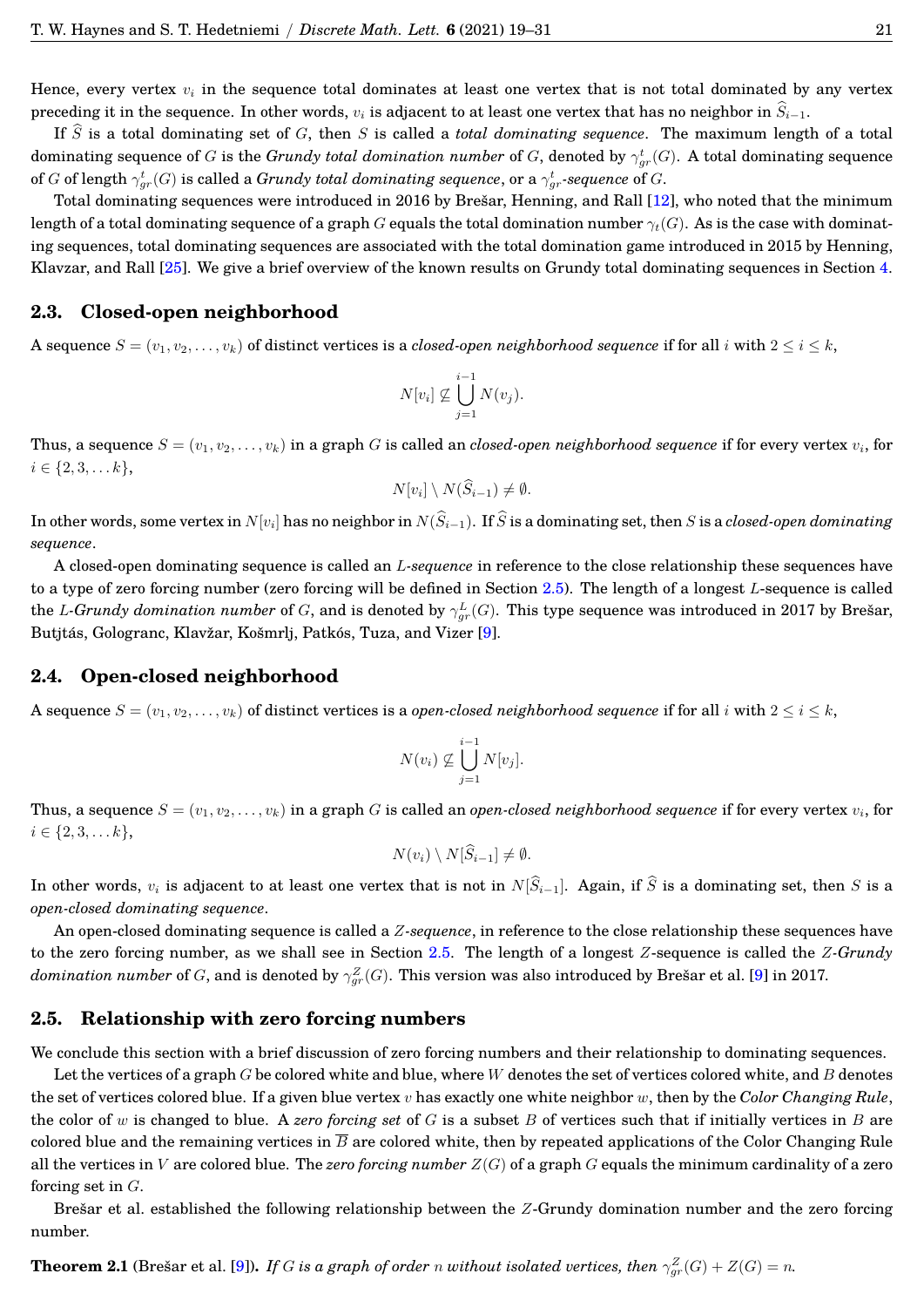Hence, every vertex  $v_i$  in the sequence total dominates at least one vertex that is not total dominated by any vertex preceding it in the sequence. In other words,  $v_i$  is adjacent to at least one vertex that has no neighbor in  $\hat{S}_{i-1}$ .

If  $\widehat{S}$  is a total dominating set of G, then S is called a *total dominating sequence*. The maximum length of a total dominating sequence of  $G$  is the  $Grundy$  *total domination number* of  $G$ , denoted by  $\gamma^t_{gr}(G)$ . A total dominating sequence of  $G$  of length  $\gamma^t_{gr}(G)$  is called a  $Grundy$  *total dominating sequence*, or a  $\gamma^t_{gr}$ -sequence of  $G.$ 

Total dominating sequences were introduced in 2016 by Brešar, Henning, and Rall [[12\]](#page-14-2), who noted that the minimum length of a total dominating sequence of a graph G equals the total domination number  $\gamma_t(G)$ . As is the case with dominating sequences, total dominating sequences are associated with the total domination game introduced in 2015 by Henning, Klavzar, and Rall [\[25\]](#page-14-3). We give a brief overview of the known results on Grundy total dominating sequences in Section [4.](#page-7-0)

## **2.3. Closed-open neighborhood**

A sequence  $S = (v_1, v_2, \ldots, v_k)$  of distinct vertices is a *closed-open neighborhood sequence* if for all i with  $2 \leq i \leq k$ ,

$$
N[v_i] \nsubseteq \bigcup_{j=1}^{i-1} N(v_j).
$$

Thus, a sequence  $S=(v_1,v_2,\ldots,v_k)$  in a graph  $G$  is called an  $closed$ -open neighborhood sequence if for every vertex  $v_i$ , for  $i \in \{2, 3, \ldots k\},\$ 

$$
N[v_i] \setminus N(\widehat{S}_{i-1}) \neq \emptyset.
$$

In other words, some vertex in  $N[v_i]$  has no neighbor in  $N(S_{i-1})$ . If  $S$  is a dominating set, then  $S$  is a *closed-open dominating sequence*.

A closed-open dominating sequence is called an L*-sequence* in reference to the close relationship these sequences have to a type of zero forcing number (zero forcing will be defined in Section [2.5\)](#page-4-0). The length of a longest L-sequence is called the *L-Grundy domination number* of  $G$ , and is denoted by  $\gamma^L_{gr}(G)$ . This type sequence was introduced in 2017 by Brešar, Butjtás, Gologranc, Klavžar, Košmrlj, Patkós, Tuza, and Vizer [[9\]](#page-14-4).

## **2.4. Open-closed neighborhood**

A sequence  $S = (v_1, v_2, \ldots, v_k)$  of distinct vertices is a *open-closed neighborhood sequence* if for all i with  $2 \leq i \leq k$ ,

$$
N(v_i) \nsubseteq \bigcup_{j=1}^{i-1} N[v_j].
$$

Thus, a sequence  $S=(v_1,v_2,\ldots,v_k)$  in a graph  $G$  is called an  $open{\text{-}closed\space\,}$   $neighborhood\space sequence$  if for every vertex  $v_i$ , for  $i \in \{2, 3, \ldots k\},\$ 

$$
N(v_i)\setminus N[\widehat{S}_{i-1}]\neq\emptyset.
$$

In other words,  $v_i$  is adjacent to at least one vertex that is not in  $N[\hat{S}_{i-1}]$ . Again, if  $\hat{S}$  is a dominating set, then S is a *open-closed dominating sequence*.

An open-closed dominating sequence is called a Z*-sequence*, in reference to the close relationship these sequences have to the zero forcing number, as we shall see in Section [2.5.](#page-4-0) The length of a longest Z-sequence is called the Z*-Grundy*  $domination\ number$  of  $G,$  and is denoted by  $\gamma^Z_{gr}(G).$  This version was also introduced by Brešar et al. [[9\]](#page-14-4) in 2017.

### <span id="page-4-0"></span>**2.5. Relationship with zero forcing numbers**

We conclude this section with a brief discussion of zero forcing numbers and their relationship to dominating sequences.

Let the vertices of a graph  $G$  be colored white and blue, where W denotes the set of vertices colored white, and  $B$  denotes the set of vertices colored blue. If a given blue vertex v has exactly one white neighbor w, then by the *Color Changing Rule*, the color of w is changed to blue. A *zero forcing set* of G is a subset B of vertices such that if initially vertices in B are colored blue and the remaining vertices in  $\overline{B}$  are colored white, then by repeated applications of the Color Changing Rule all the vertices in V are colored blue. The *zero forcing number* Z(G) of a graph G equals the minimum cardinality of a zero forcing set in  $G$ .

Bresar et al. established the following relationship between the  $Z$ -Grundy domination number and the zero forcing number.

<span id="page-4-1"></span>**Theorem 2.1** (Brešar et al. [[9\]](#page-14-4)). *If G is a graph of order n without isolated vertices, then*  $\gamma_{gr}^Z(G) + Z(G) = n$ .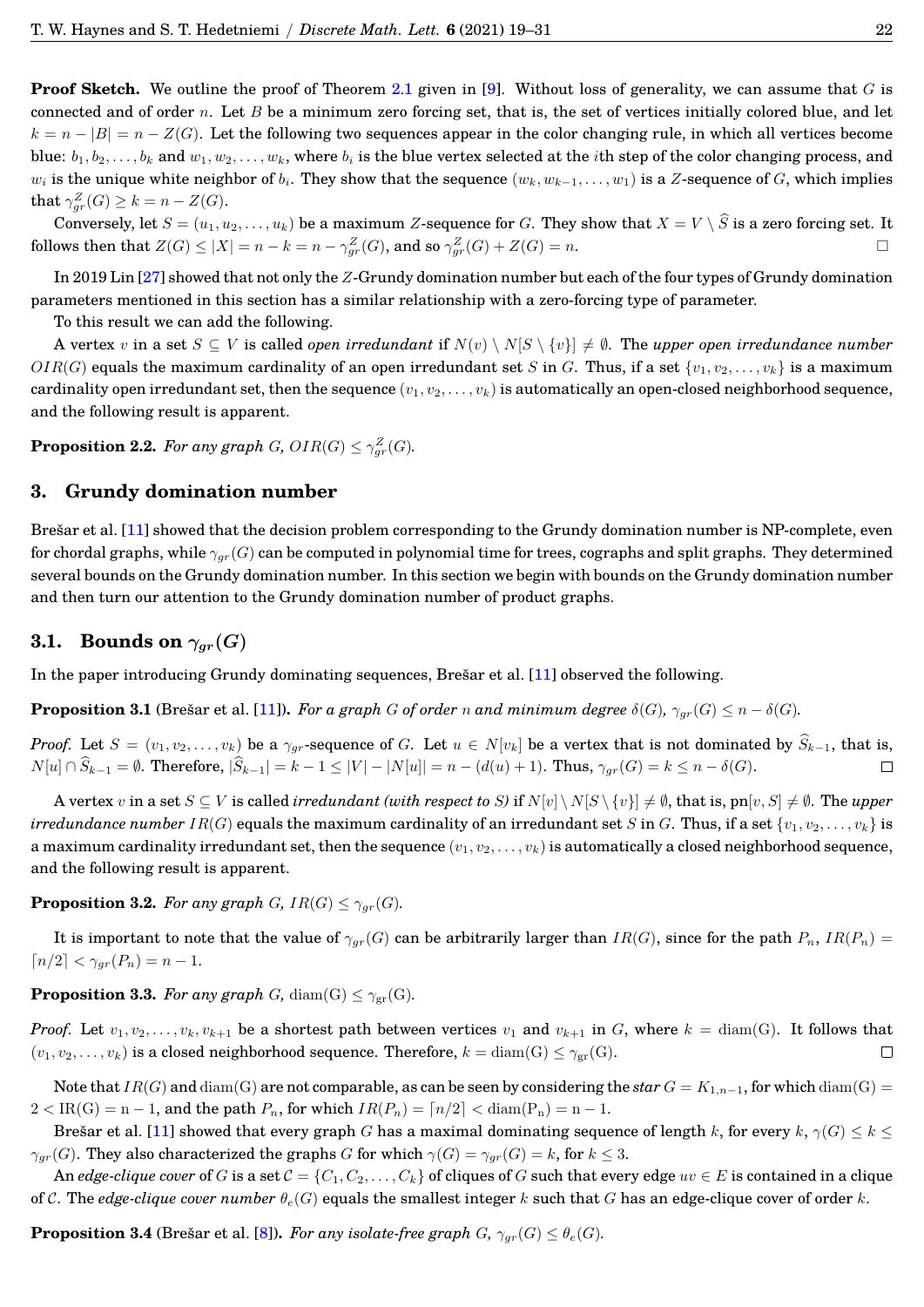**Proof Sketch.** We outline the proof of Theorem [2.1](#page-4-1) given in [\[9\]](#page-14-4). Without loss of generality, we can assume that G is connected and of order  $n$ . Let  $B$  be a minimum zero forcing set, that is, the set of vertices initially colored blue, and let  $k = n - |B| = n - Z(G)$ . Let the following two sequences appear in the color changing rule, in which all vertices become blue:  $b_1, b_2, \ldots, b_k$  and  $w_1, w_2, \ldots, w_k$ , where  $b_i$  is the blue vertex selected at the *i*th step of the color changing process, and  $w_i$  is the unique white neighbor of  $b_i.$  They show that the sequence  $(w_k,w_{k-1},\ldots,w_1)$  is a  $Z$ -sequence of  $G,$  which implies that  $\gamma_{gr}^Z(G) \geq k = n - Z(G)$ .

Conversely, let  $S = (u_1, u_2, \dots, u_k)$  be a maximum Z-sequence for G. They show that  $X = V \setminus \widehat{S}$  is a zero forcing set. It lows then that  $Z(G) \le |X| = n - k = n - \gamma_Z^Z(G)$ , and so  $\gamma_Z^Z(G) + Z(G) = n$ . follows then that  $Z(G) \le |X| = n - k = n - \gamma_{gr}^Z(G)$ , and so  $\gamma_{gr}^Z(G) + Z(G) = n$ .

In 2019 Lin [\[27\]](#page-14-5) showed that not only the Z-Grundy domination number but each of the four types of Grundy domination parameters mentioned in this section has a similar relationship with a zero-forcing type of parameter.

To this result we can add the following.

A vertex v in a set  $S \subseteq V$  is called *open irredundant* if  $N(v) \setminus N[S \setminus \{v\}] \neq \emptyset$ . The *upper open irredundance number*  $OIR(G)$  equals the maximum cardinality of an open irredundant set S in G. Thus, if a set  $\{v_1, v_2, \ldots, v_k\}$  is a maximum cardinality open irredundant set, then the sequence  $(v_1, v_2, \ldots, v_k)$  is automatically an open-closed neighborhood sequence, and the following result is apparent.

**Proposition 2.2.** For any graph  $G$ ,  $OIR(G) \leq \gamma_{gr}^{Z}(G)$ .

## <span id="page-5-0"></span>**3. Grundy domination number**

Brešar et al. [[11\]](#page-14-0) showed that the decision problem corresponding to the Grundy domination number is NP-complete, even for chordal graphs, while  $\gamma_{gr}(G)$  can be computed in polynomial time for trees, cographs and split graphs. They determined several bounds on the Grundy domination number. In this section we begin with bounds on the Grundy domination number and then turn our attention to the Grundy domination number of product graphs.

## **3.1. Bounds on**  $\gamma_{ar}(G)$

In the paper introducing Grundy dominating sequences, Bresar et al. [[11\]](#page-14-0) observed the following.

<span id="page-5-2"></span>**Proposition 3.1** (Bresar et al. [[11\]](#page-14-0)). *For a graph* G of order n and minimum degree  $\delta(G)$ ,  $\gamma_{ar}(G) \leq n - \delta(G)$ .

*Proof.* Let  $S = (v_1, v_2, \ldots, v_k)$  be a  $\gamma_{gr}$ -sequence of G. Let  $u \in N[v_k]$  be a vertex that is not dominated by  $\widehat{S}_{k-1}$ , that is,  $N[u] \cap \widehat{S}_{k-1} = \emptyset$ . Therefore,  $|\widehat{S}_{k-1}| = k-1 \le |V| - |N[u]| = n - (d(u) + 1)$ . Thus,  $\gamma_{gr}($  $N[u] \cap \widehat{S}_{k-1} = \emptyset$ . Therefore,  $|\widehat{S}_{k-1}| = k - 1 \leq |V| - |N[u]| = n - (d(u) + 1)$ . Thus,  $\gamma_{ar}(G) = k \leq n - \delta(G)$ .

A vertex v in a set  $S \subseteq V$  is called *irredundant (with respect to S)* if  $N[v] \setminus N[S \setminus \{v\}] \neq \emptyset$ , that is, pn[v, S]  $\neq \emptyset$ . The *upper irredundance number*  $IR(G)$  equals the maximum cardinality of an irredundant set S in G. Thus, if a set  $\{v_1, v_2, \ldots, v_k\}$  is a maximum cardinality irredundant set, then the sequence  $(v_1, v_2, \ldots, v_k)$  is automatically a closed neighborhood sequence, and the following result is apparent.

<span id="page-5-1"></span>**Proposition 3.2.** *For any graph G*,  $IR(G) \leq \gamma_{gr}(G)$ *.* 

It is important to note that the value of  $\gamma_{qr}(G)$  can be arbitrarily larger than  $IR(G)$ , since for the path  $P_n$ ,  $IR(P_n)$  $\lceil n/2 \rceil < \gamma_{ar}(P_n) = n - 1.$ 

<span id="page-5-3"></span>**Proposition 3.3.** *For any graph* G, diam(G)  $\lt \gamma_{gr}(G)$ *.* 

*Proof.* Let  $v_1, v_2, \ldots, v_k, v_{k+1}$  be a shortest path between vertices  $v_1$  and  $v_{k+1}$  in G, where  $k = \text{diam}(G)$ . It follows that  $(v_1, v_2, \ldots, v_k)$  is a closed neighborhood sequence. Therefore,  $k = \text{diam}(G) \leq \gamma_{\text{cr}}(G)$ . П

Note that  $IR(G)$  and  $\text{diam}(G)$  are not comparable, as can be seen by considering the *star*  $G = K_{1,n-1}$ , for which  $\text{diam}(G)$  $2 < IR(G) = n - 1$ , and the path  $P_n$ , for which  $IR(P_n) = \lfloor n/2 \rfloor < \text{diam}(P_n) = n - 1$ .

Bresar et al. [[11\]](#page-14-0) showed that every graph G has a maximal dominating sequence of length k, for every  $k$ ,  $\gamma(G) \leq k \leq$  $\gamma_{gr}(G)$ . They also characterized the graphs G for which  $\gamma(G) = \gamma_{gr}(G) = k$ , for  $k \leq 3$ .

An *edge-clique cover* of G is a set  $C = \{C_1, C_2, \ldots, C_k\}$  of cliques of G such that every edge  $uv \in E$  is contained in a clique of C. The *edge-clique cover number*  $\theta_e(G)$  equals the smallest integer k such that G has an edge-clique cover of order k.

**Proposition 3.4** (Brešar et al. [[8\]](#page-14-6)). *For any isolate-free graph* G,  $\gamma_{ar}(G) \leq \theta_e(G)$ *.*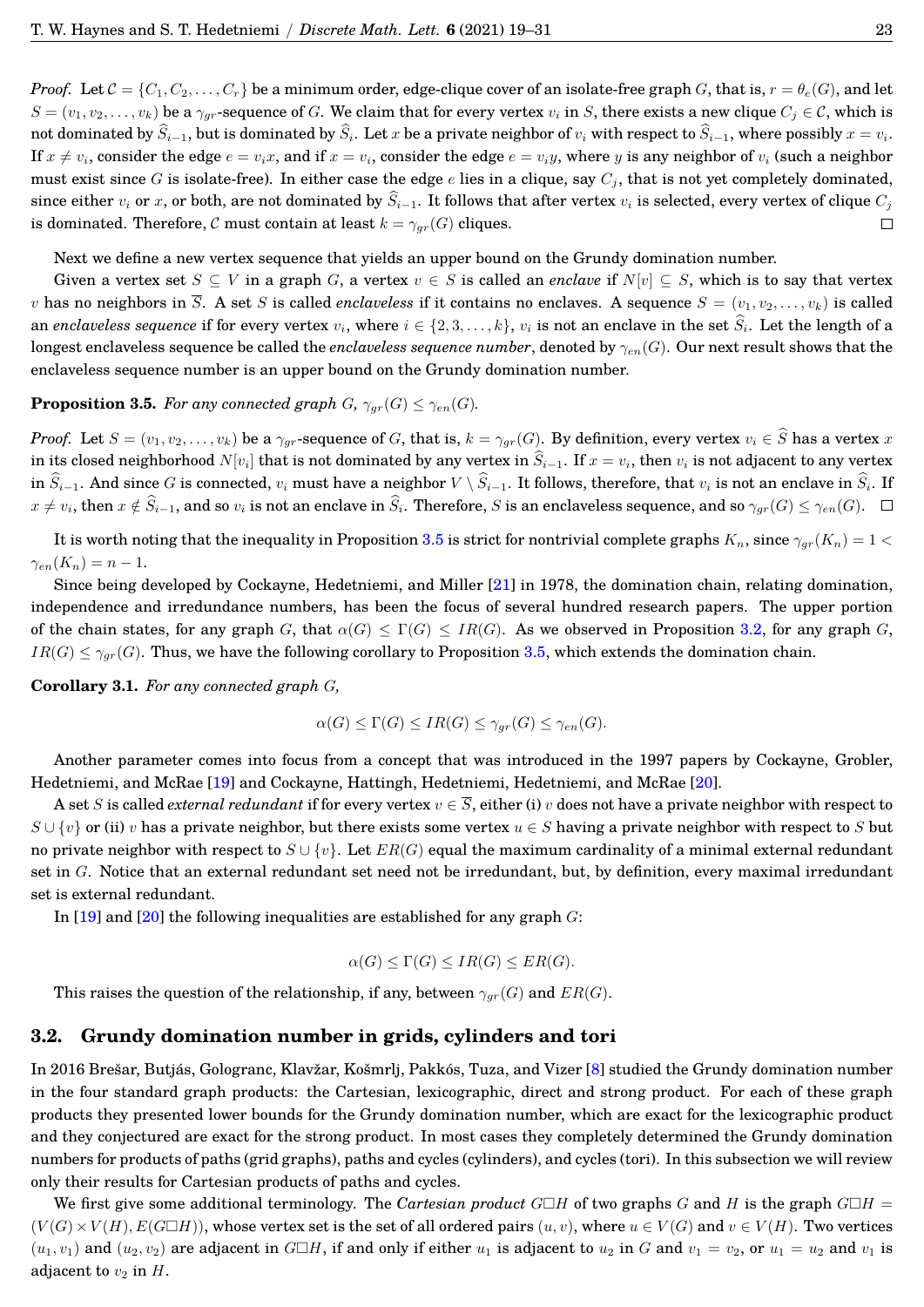*Proof.* Let  $C = \{C_1, C_2, \ldots, C_r\}$  be a minimum order, edge-clique cover of an isolate-free graph G, that is,  $r = \theta_e(G)$ , and let  $S = (v_1, v_2, \dots, v_k)$  be a  $\gamma_{qr}$ -sequence of G. We claim that for every vertex  $v_i$  in S, there exists a new clique  $C_j \in \mathcal{C}$ , which is not dominated by  $S_{i-1}$ , but is dominated by  $S_i$ . Let  $x$  be a private neighbor of  $v_i$  with respect to  $S_{i-1}$ , where possibly  $x = v_i$ . If  $x\neq v_i,$  consider the edge  $e=v_ix,$  and if  $x=v_i,$  consider the edge  $e=v_iy,$  where  $y$  is any neighbor of  $v_i$  (such a neighbor must exist since G is isolate-free). In either case the edge e lies in a clique, say  $C_i$ , that is not yet completely dominated, since either  $v_i$  or x, or both, are not dominated by  $\widehat{S}_{i-1}$ . It follows that after vertex  $v_i$  is selected, every vertex of clique  $C_i$ is dominated. Therefore, C must contain at least  $k = \gamma_{gr}(G)$  cliques.  $\Box$ 

Next we define a new vertex sequence that yields an upper bound on the Grundy domination number.

Given a vertex set  $S \subseteq V$  in a graph G, a vertex  $v \in S$  is called an *enclave* if  $N[v] \subseteq S$ , which is to say that vertex v has no neighbors in  $\overline{S}$ . A set S is called *enclaveless* if it contains no enclaves. A sequence  $S = (v_1, v_2, \ldots, v_k)$  is called an *enclaveless sequence* if for every vertex  $v_i$ , where  $i \in \{2,3,\ldots,k\}$ ,  $v_i$  is not an enclave in the set  $S_i$ . Let the length of a longest enclaveless sequence be called the *enclaveless sequence number*, denoted by  $\gamma_{en}(G)$ . Our next result shows that the enclaveless sequence number is an upper bound on the Grundy domination number.

### <span id="page-6-0"></span>**Proposition 3.5.** *For any connected graph*  $G$ *,*  $\gamma_{gr}(G) \leq \gamma_{en}(G)$ *.*

*Proof.* Let  $S = (v_1, v_2, \ldots, v_k)$  be a  $\gamma_{gr}$ -sequence of G, that is,  $k = \gamma_{gr}(G)$ . By definition, every vertex  $v_i \in \widehat{S}$  has a vertex x in its closed neighborhood  $N[v_i]$  that is not dominated by any vertex in  $S_{i-1}.$  If  $x = v_i,$  then  $v_i$  is not adjacent to any vertex in  $S_{i-1}$ . And since  $G$  is connected,  $v_i$  must have a neighbor  $V \setminus S_{i-1}$ . It follows, therefore, that  $v_i$  is not an enclave in  $S_i$ . If  $x\neq v_i$ , then  $x\notin S_{i-1}$ , and so  $v_i$  is not an enclave in  $S_i$ . Therefore,  $S$  is an enclaveless sequence, and so  $\gamma_{gr}(G)\leq \gamma_{en}(G)$ .

It is worth noting that the inequality in Proposition [3.5](#page-6-0) is strict for nontrivial complete graphs  $K_n$ , since  $\gamma_{ar}(K_n) = 1$  $\gamma_{en}(K_n) = n-1.$ 

Since being developed by Cockayne, Hedetniemi, and Miller [\[21\]](#page-14-7) in 1978, the domination chain, relating domination, independence and irredundance numbers, has been the focus of several hundred research papers. The upper portion of the chain states, for any graph G, that  $\alpha(G) \leq \Gamma(G) \leq IR(G)$ . As we observed in Proposition [3.2,](#page-5-1) for any graph G,  $IR(G) \leq \gamma_{gr}(G)$ . Thus, we have the following corollary to Proposition [3.5,](#page-6-0) which extends the domination chain.

**Corollary 3.1.** *For any connected graph* G*,*

$$
\alpha(G) \leq \Gamma(G) \leq IR(G) \leq \gamma_{gr}(G) \leq \gamma_{en}(G).
$$

Another parameter comes into focus from a concept that was introduced in the 1997 papers by Cockayne, Grobler, Hedetniemi, and McRae [\[19\]](#page-14-8) and Cockayne, Hattingh, Hedetniemi, Hedetniemi, and McRae [\[20\]](#page-14-9).

A set S is called *external redundant* if for every vertex  $v \in \overline{S}$ , either (i) v does not have a private neighbor with respect to  $S \cup \{v\}$  or (ii) v has a private neighbor, but there exists some vertex  $u \in S$  having a private neighbor with respect to S but no private neighbor with respect to  $S \cup \{v\}$ . Let  $ER(G)$  equal the maximum cardinality of a minimal external redundant set in G. Notice that an external redundant set need not be irredundant, but, by definition, every maximal irredundant set is external redundant.

In  $[19]$  and  $[20]$  the following inequalities are established for any graph G:

$$
\alpha(G) \le \Gamma(G) \le IR(G) \le ER(G).
$$

This raises the question of the relationship, if any, between  $\gamma_{gr}(G)$  and  $ER(G)$ .

## **3.2. Grundy domination number in grids, cylinders and tori**

In 2016 Brešar, Butjás, Gologranc, Klavžar, Košmrlj, Pakkós, Tuza, and Vizer [[8\]](#page-14-6) studied the Grundy domination number in the four standard graph products: the Cartesian, lexicographic, direct and strong product. For each of these graph products they presented lower bounds for the Grundy domination number, which are exact for the lexicographic product and they conjectured are exact for the strong product. In most cases they completely determined the Grundy domination numbers for products of paths (grid graphs), paths and cycles (cylinders), and cycles (tori). In this subsection we will review only their results for Cartesian products of paths and cycles.

We first give some additional terminology. The *Cartesian product*  $G \Box H$  of two graphs G and H is the graph  $G \Box H$  =  $(V(G) \times V(H), E(G \Box H))$ , whose vertex set is the set of all ordered pairs  $(u, v)$ , where  $u \in V(G)$  and  $v \in V(H)$ . Two vertices  $(u_1, v_1)$  and  $(u_2, v_2)$  are adjacent in  $G \Box H$ , if and only if either  $u_1$  is adjacent to  $u_2$  in G and  $v_1 = v_2$ , or  $u_1 = u_2$  and  $v_1$  is adjacent to  $v_2$  in H.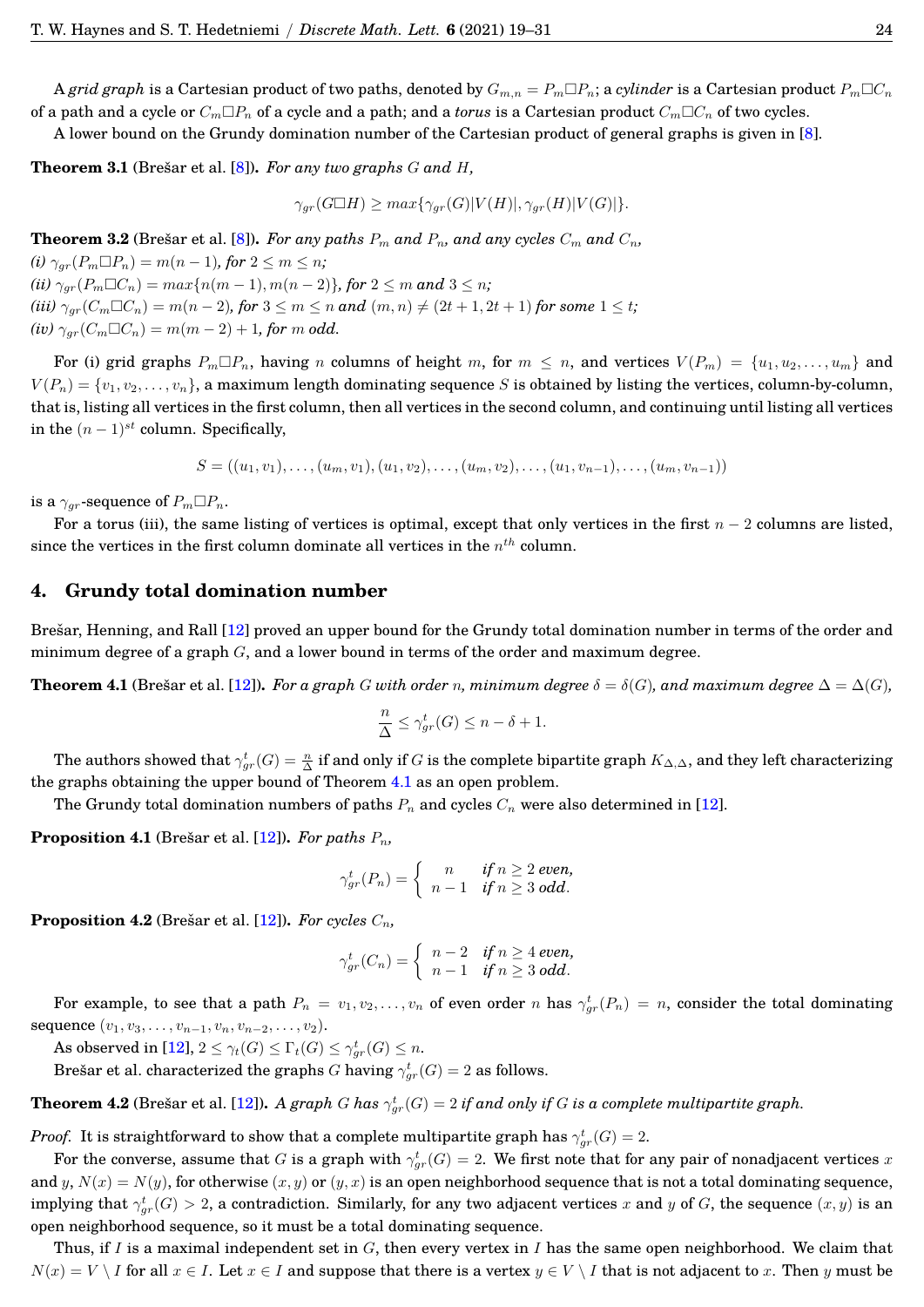A *grid graph* is a Cartesian product of two paths, denoted by  $G_{m,n} = P_m \Box P_n$ ; a *cylinder* is a Cartesian product  $P_m \Box C_n$ of a path and a cycle or  $C_m \Box P_n$  of a cycle and a path; and a *torus* is a Cartesian product  $C_m \Box C_n$  of two cycles.

A lower bound on the Grundy domination number of the Cartesian product of general graphs is given in [\[8\]](#page-14-6).

**Theorem 3.1** (Brešar et al. [[8\]](#page-14-6)). For any two graphs  $G$  and  $H$ ,

 $\gamma_{gr}(G \Box H) \geq max\{\gamma_{gr}(G)|V(H)|, \gamma_{gr}(H)|V(G)|\}.$ 

<span id="page-7-2"></span>**Theorem 3.2** (Bresar et al. [[8\]](#page-14-6)). *For any paths*  $P_m$  *and*  $P_n$ *, and any cycles*  $C_m$  *and*  $C_n$ *,* 

 $(i)$   $\gamma_{gr}(P_m \Box P_n) = m(n-1)$ *, for*  $2 \leq m \leq n$ *;*  $(iii)$   $\gamma_{ar}(P_m \Box C_n) = max\{n(m-1), m(n-2)\}\$ , for  $2 \leq m$  and  $3 \leq n$ ; *(iii)*  $\gamma_{qr}(C_m \Box C_n) = m(n-2)$ , for  $3 \le m \le n$  and  $(m, n) \ne (2t + 1, 2t + 1)$  for some  $1 \le t$ ;  $(iv)$   $\gamma_{gr}(C_m \Box C_n) = m(m-2) + 1$ , for m odd.

For (i) grid graphs  $P_m \Box P_n$ , having n columns of height m, for  $m \leq n$ , and vertices  $V(P_m) = \{u_1, u_2, \ldots, u_m\}$  and  $V(P_n) = \{v_1, v_2, \ldots, v_n\}$ , a maximum length dominating sequence S is obtained by listing the vertices, column-by-column, that is, listing all vertices in the first column, then all vertices in the second column, and continuing until listing all vertices in the  $(n-1)^{st}$  column. Specifically,

$$
S = ((u_1, v_1), \ldots, (u_m, v_1), (u_1, v_2), \ldots, (u_m, v_2), \ldots, (u_1, v_{n-1}), \ldots, (u_m, v_{n-1}))
$$

is a  $\gamma_{qr}$ -sequence of  $P_m \Box P_n$ .

For a torus (iii), the same listing of vertices is optimal, except that only vertices in the first  $n - 2$  columns are listed, since the vertices in the first column dominate all vertices in the  $n^{th}$  column.

#### <span id="page-7-0"></span>**4. Grundy total domination number**

Brešar, Henning, and Rall [[12\]](#page-14-2) proved an upper bound for the Grundy total domination number in terms of the order and minimum degree of a graph  $G$ , and a lower bound in terms of the order and maximum degree.

<span id="page-7-1"></span>**Theorem 4.1** (Brešar et al. [[12\]](#page-14-2)). *For a graph* G with order n, minimum degree  $\delta = \delta(G)$ , and maximum degree  $\Delta = \Delta(G)$ *,* 

$$
\frac{n}{\Delta} \le \gamma_{gr}^t(G) \le n - \delta + 1.
$$

The authors showed that  $\gamma^t_{gr}(G)=\frac{n}{\Delta}$  if and only if  $G$  is the complete bipartite graph  $K_{\Delta,\Delta}$ , and they left characterizing the graphs obtaining the upper bound of Theorem [4.1](#page-7-1) as an open problem.

The Grundy total domination numbers of paths  $P_n$  and cycles  $C_n$  were also determined in [\[12\]](#page-14-2).

**Proposition 4.1** (Brešar et al. [[12\]](#page-14-2)). *For paths*  $P_n$ ,

$$
\gamma_{gr}^t(P_n)=\left\{\begin{array}{cc}n & \text{if }n\geq 2\text{ even,}\\ n-1 & \text{if }n\geq 3\text{ odd.}\end{array}\right.
$$

**Proposition 4.2** (Brešar et al. [[12\]](#page-14-2)). *For cycles*  $C_n$ ,

$$
\gamma_{gr}^t(C_n) = \begin{cases} n-2 & \text{if } n \ge 4 \text{ even,} \\ n-1 & \text{if } n \ge 3 \text{ odd.} \end{cases}
$$

For example, to see that a path  $P_n = v_1, v_2, \ldots, v_n$  of even order  $n$  has  $\gamma_{gr}^t(P_n) = n$ , consider the total dominating sequence  $(v_1, v_3, \ldots, v_{n-1}, v_n, v_{n-2}, \ldots, v_2)$ .

As observed in [\[12\]](#page-14-2),  $2 \leq \gamma_t(G) \leq \Gamma_t(G) \leq \gamma_{gr}^t(G) \leq n$ .

Brešar et al. characterized the graphs  $G$  having  $\gamma_{gr}^t(G)=2$  as follows.

**Theorem 4.2** (Brešar et al. [[12\]](#page-14-2)). *A graph G has*  $\gamma^t_{gr}(G)=2$  *if and only if G is a complete multipartite graph.* 

*Proof.* It is straightforward to show that a complete multipartite graph has  $\gamma_{gr}^t(G) = 2.$ 

For the converse, assume that  $G$  is a graph with  $\gamma^t_{gr}(G)=2.$  We first note that for any pair of nonadjacent vertices  $x$ and y,  $N(x) = N(y)$ , for otherwise  $(x, y)$  or  $(y, x)$  is an open neighborhood sequence that is not a total dominating sequence, implying that  $\gamma^t_{gr}(G)>2$ , a contradiction. Similarly, for any two adjacent vertices  $x$  and  $y$  of  $G$ , the sequence  $(x,y)$  is an open neighborhood sequence, so it must be a total dominating sequence.

Thus, if I is a maximal independent set in G, then every vertex in I has the same open neighborhood. We claim that  $N(x) = V \setminus I$  for all  $x \in I$ . Let  $x \in I$  and suppose that there is a vertex  $y \in V \setminus I$  that is not adjacent to x. Then y must be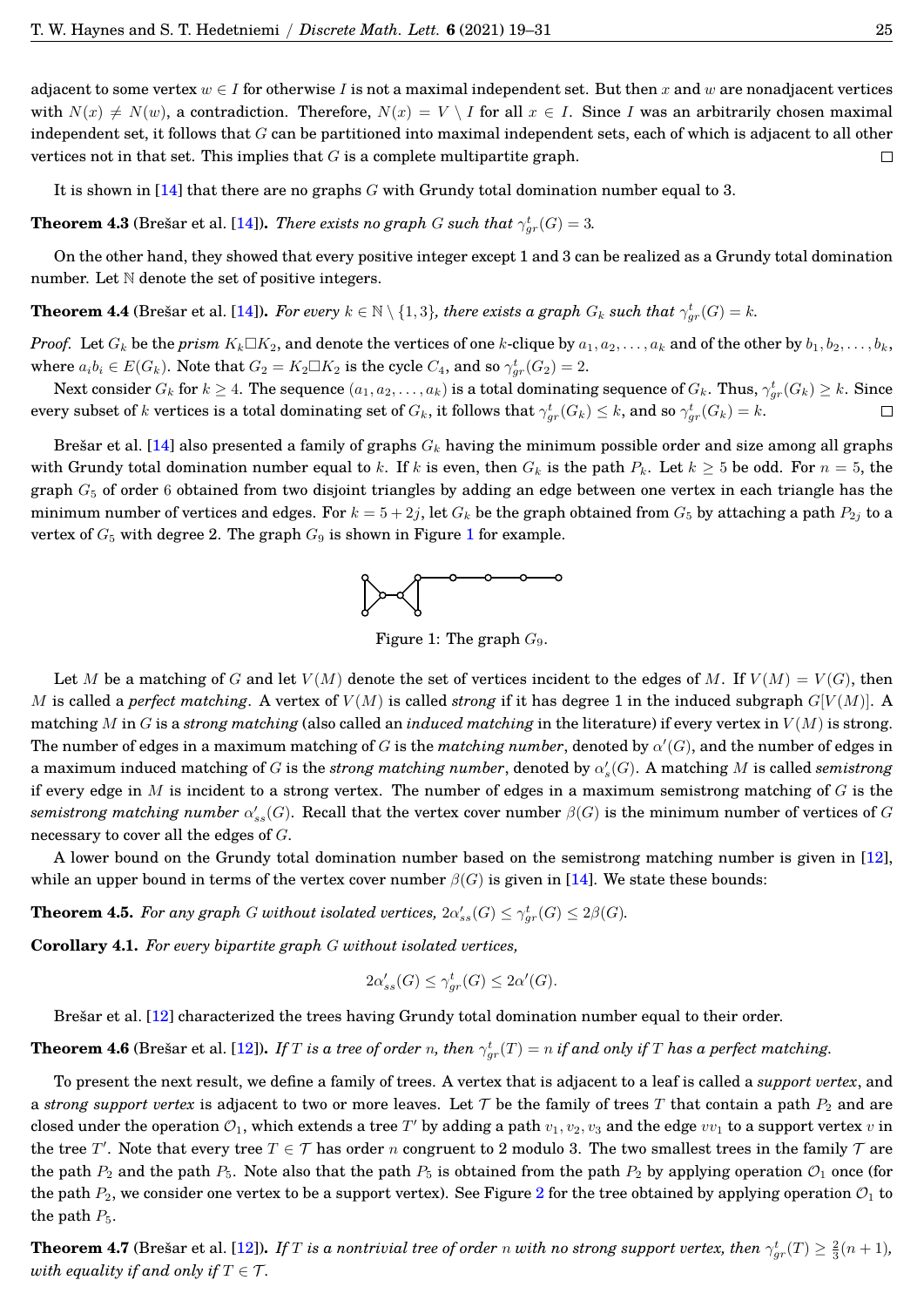adjacent to some vertex  $w \in I$  for otherwise I is not a maximal independent set. But then x and w are nonadjacent vertices with  $N(x) \neq N(w)$ , a contradiction. Therefore,  $N(x) = V \setminus I$  for all  $x \in I$ . Since I was an arbitrarily chosen maximal independent set, it follows that  $G$  can be partitioned into maximal independent sets, each of which is adjacent to all other vertices not in that set. This implies that  $G$  is a complete multipartite graph.  $\Box$ 

It is shown in  $[14]$  that there are no graphs G with Grundy total domination number equal to 3.

**Theorem 4.3** (Brešar et al. [[14\]](#page-14-10)). *There exists no graph G such that*  $\gamma_{gr}^t(G) = 3$ .

On the other hand, they showed that every positive integer except 1 and 3 can be realized as a Grundy total domination number. Let  $N$  denote the set of positive integers.

**Theorem 4.4** (Brešar et al. [[14\]](#page-14-10)). *For every*  $k \in \mathbb{N} \setminus \{1,3\}$ , there exists a graph  $G_k$  such that  $\gamma_{gr}^t(G) = k$ .

*Proof.* Let  $G_k$  be the *prism*  $K_k \square K_2$ , and denote the vertices of one k-clique by  $a_1, a_2, \ldots, a_k$  and of the other by  $b_1, b_2, \ldots, b_k$ , where  $a_i b_i \in E(G_k)$ . Note that  $G_2 = K_2 \Box K_2$  is the cycle  $C_4$ , and so  $\gamma_{gr}^t(G_2) = 2$ .

Next consider  $G_k$  for  $k\geq 4$ . The sequence  $(a_1,a_2,\ldots,a_k)$  is a total dominating sequence of  $G_k$ . Thus,  $\gamma^t_{gr}(G_k)\geq k$ . Since every subset of  $k$  vertices is a total dominating set of  $G_k$ , it follows that  $\gamma^t_{gr}(G_k)\leq k,$  and so  $\gamma^t_{gr}(G_k)=k.$ П

Brešar et al. [[14\]](#page-14-10) also presented a family of graphs  $G_k$  having the minimum possible order and size among all graphs with Grundy total domination number equal to k. If k is even, then  $G_k$  is the path  $P_k$ . Let  $k \geq 5$  be odd. For  $n = 5$ , the graph  $G_5$  of order 6 obtained from two disjoint triangles by adding an edge between one vertex in each triangle has the minimum number of vertices and edges. For  $k = 5 + 2j$ , let  $G_k$  be the graph obtained from  $G_5$  by attaching a path  $P_{2j}$  to a vertex of  $G_5$  with degree 2. The graph  $G_9$  is shown in Figure [1](#page-8-0) for example.



<span id="page-8-0"></span>Figure 1: The graph  $G_9$ .

Let M be a matching of G and let  $V(M)$  denote the set of vertices incident to the edges of M. If  $V(M) = V(G)$ , then M is called a *perfect matching*. A vertex of  $V(M)$  is called *strong* if it has degree 1 in the induced subgraph  $G[V(M)]$ . A matching M in G is a *strong matching* (also called an *induced matching* in the literature) if every vertex in  $V(M)$  is strong. The number of edges in a maximum matching of G is the *matching number*, denoted by  $\alpha'(G)$ , and the number of edges in a maximum induced matching of  $G$  is the *strong matching number*, denoted by  $\alpha_s'(G)$ . A matching  $M$  is called *semistrong* if every edge in  $M$  is incident to a strong vertex. The number of edges in a maximum semistrong matching of  $G$  is the  $semistrong\ matching\ number\ \alpha_{ss}'(G).$  Recall that the vertex cover number  $\beta(G)$  is the minimum number of vertices of  $G$ necessary to cover all the edges of G.

A lower bound on the Grundy total domination number based on the semistrong matching number is given in [\[12\]](#page-14-2), while an upper bound in terms of the vertex cover number  $\beta(G)$  is given in [\[14\]](#page-14-10). We state these bounds:

**Theorem 4.5.** For any graph G without isolated vertices,  $2\alpha'_{ss}(G) \leq \gamma^t_{gr}(G) \leq 2\beta(G)$ .

**Corollary 4.1.** *For every bipartite graph* G *without isolated vertices,*

$$
2\alpha'_{ss}(G) \le \gamma^t_{gr}(G) \le 2\alpha'(G).
$$

Brešar et al. [[12\]](#page-14-2) characterized the trees having Grundy total domination number equal to their order.

**Theorem 4.6** (Brešar et al. [[12\]](#page-14-2)). If  $T$  is a tree of order n, then  $\gamma_{gr}^t(T)=n$  if and only if  $T$  has a perfect matching.

To present the next result, we define a family of trees. A vertex that is adjacent to a leaf is called a *support vertex*, and a *strong support vertex* is adjacent to two or more leaves. Let  $\mathcal T$  be the family of trees  $T$  that contain a path  $P_2$  and are closed under the operation  $\mathcal{O}_1$ , which extends a tree  $T'$  by adding a path  $v_1,v_2,v_3$  and the edge  $vv_1$  to a support vertex  $v$  in the tree T'. Note that every tree  $T \in \mathcal{T}$  has order n congruent to 2 modulo 3. The two smallest trees in the family  $\mathcal{T}$  are the path  $P_2$  and the path  $P_5$ . Note also that the path  $P_5$  is obtained from the path  $P_2$  by applying operation  $\mathcal{O}_1$  once (for the path  $P_2$  $P_2$ , we consider one vertex to be a support vertex). See Figure 2 for the tree obtained by applying operation  $\mathcal{O}_1$  to the path  $P_5$ .

**Theorem 4.7** (Brešar et al. [[12\]](#page-14-2)). *If T is a nontrivial tree of order n with no strong support vertex, then*  $\gamma^t_{gr}(T)\geq \frac{2}{3}(n+1)$ *, with equality if and only if*  $T \in \mathcal{T}$ *.*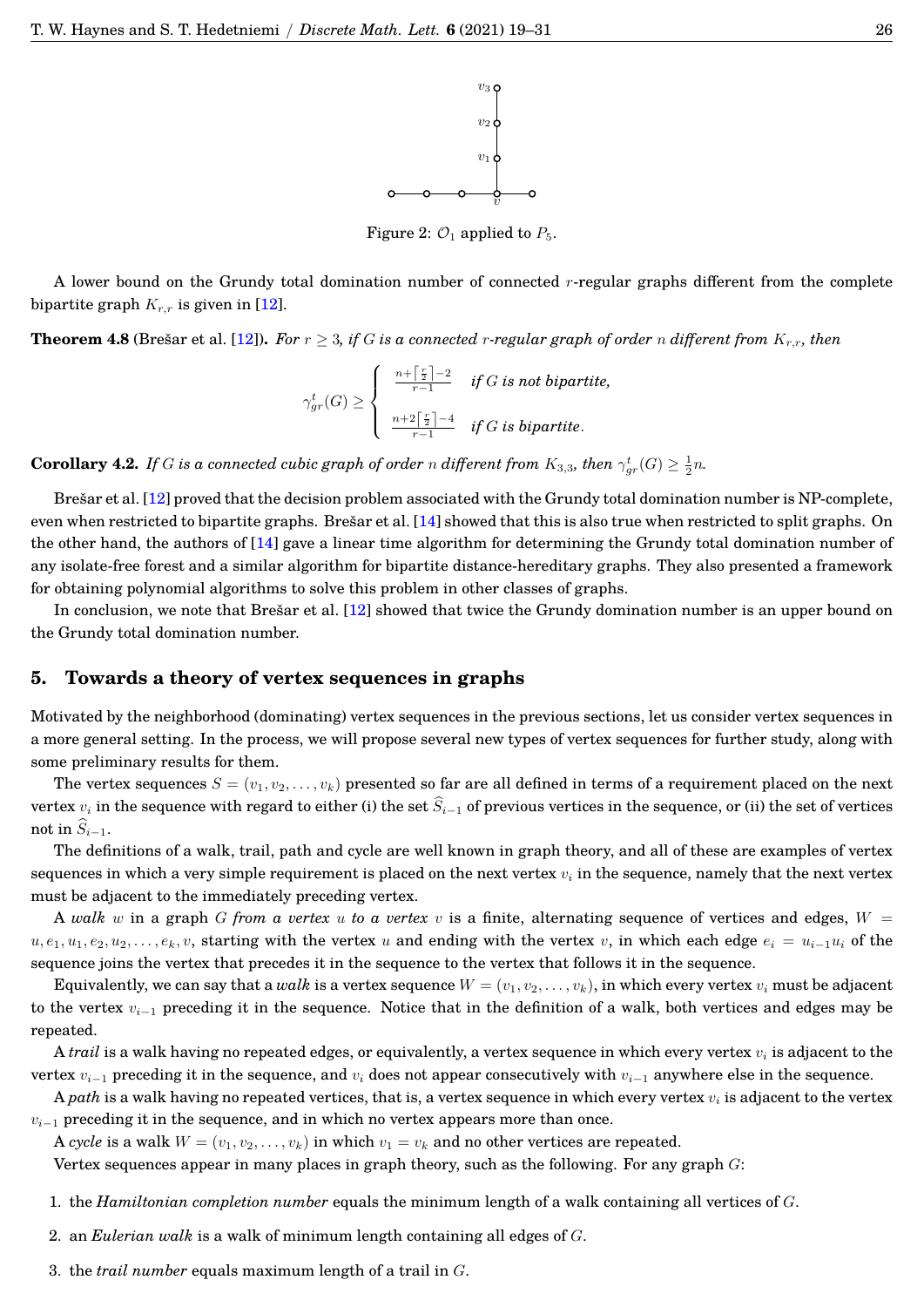

<span id="page-9-1"></span>Figure 2:  $\mathcal{O}_1$  applied to  $P_5$ .

A lower bound on the Grundy total domination number of connected r-regular graphs different from the complete bipartite graph  $K_{r,r}$  is given in [\[12\]](#page-14-2).

**Theorem 4.8** (Brešar et al. [[12\]](#page-14-2)). For  $r \geq 3$ , if G is a connected r-regular graph of order n different from  $K_{r,r}$ , then

$$
\gamma_{gr}^t(G)\geq\left\{\begin{array}{cc}\frac{n+\lceil\frac{r}{2}\rceil-2}{r-1} & \textit{if $G$ is not bipartite,}\\\frac{n+2\lceil\frac{r}{2}\rceil-4}{r-1} & \textit{if $G$ is bipartite.}\end{array}\right.
$$

**Corollary 4.2.** *If* G is a connected cubic graph of order n different from  $K_{3,3}$ , then  $\gamma_{gr}^t(G) \geq \frac{1}{2}n$ .

Bresar et al.  $[12]$  $[12]$  proved that the decision problem associated with the Grundy total domination number is NP-complete, even when restricted to bipartite graphs. Brešar et al.  $[14]$  $[14]$  showed that this is also true when restricted to split graphs. On the other hand, the authors of [\[14\]](#page-14-10) gave a linear time algorithm for determining the Grundy total domination number of any isolate-free forest and a similar algorithm for bipartite distance-hereditary graphs. They also presented a framework for obtaining polynomial algorithms to solve this problem in other classes of graphs.

In conclusion, we note that Bresar et al.  $[12]$  $[12]$  showed that twice the Grundy domination number is an upper bound on the Grundy total domination number.

#### <span id="page-9-0"></span>**5. Towards a theory of vertex sequences in graphs**

Motivated by the neighborhood (dominating) vertex sequences in the previous sections, let us consider vertex sequences in a more general setting. In the process, we will propose several new types of vertex sequences for further study, along with some preliminary results for them.

The vertex sequences  $S = (v_1, v_2, \ldots, v_k)$  presented so far are all defined in terms of a requirement placed on the next vertex  $v_i$  in the sequence with regard to either (i) the set  $\hat{S}_{i-1}$  of previous vertices in the sequence, or (ii) the set of vertices not in  $\widehat{S}_{i-1}$ .

The definitions of a walk, trail, path and cycle are well known in graph theory, and all of these are examples of vertex sequences in which a very simple requirement is placed on the next vertex  $v_i$  in the sequence, namely that the next vertex must be adjacent to the immediately preceding vertex.

A *walk* w in a graph G from a vertex u to a vertex v is a finite, alternating sequence of vertices and edges,  $W =$  $u, e_1, u_1, e_2, u_2, \ldots, e_k, v$ , starting with the vertex u and ending with the vertex v, in which each edge  $e_i = u_{i-1}u_i$  of the sequence joins the vertex that precedes it in the sequence to the vertex that follows it in the sequence.

Equivalently, we can say that a *walk* is a vertex sequence  $W = (v_1, v_2, \ldots, v_k)$ , in which every vertex  $v_i$  must be adjacent to the vertex  $v_{i-1}$  preceding it in the sequence. Notice that in the definition of a walk, both vertices and edges may be repeated.

A *trail* is a walk having no repeated edges, or equivalently, a vertex sequence in which every vertex  $v_i$  is adjacent to the vertex  $v_{i-1}$  preceding it in the sequence, and  $v_i$  does not appear consecutively with  $v_{i-1}$  anywhere else in the sequence.

A *path* is a walk having no repeated vertices, that is, a vertex sequence in which every vertex  $v_i$  is adjacent to the vertex  $v_{i-1}$  preceding it in the sequence, and in which no vertex appears more than once.

A *cycle* is a walk  $W = (v_1, v_2, \dots, v_k)$  in which  $v_1 = v_k$  and no other vertices are repeated.

Vertex sequences appear in many places in graph theory, such as the following. For any graph G:

1. the *Hamiltonian completion number* equals the minimum length of a walk containing all vertices of G.

- 2. an *Eulerian walk* is a walk of minimum length containing all edges of G.
- 3. the *trail number* equals maximum length of a trail in G.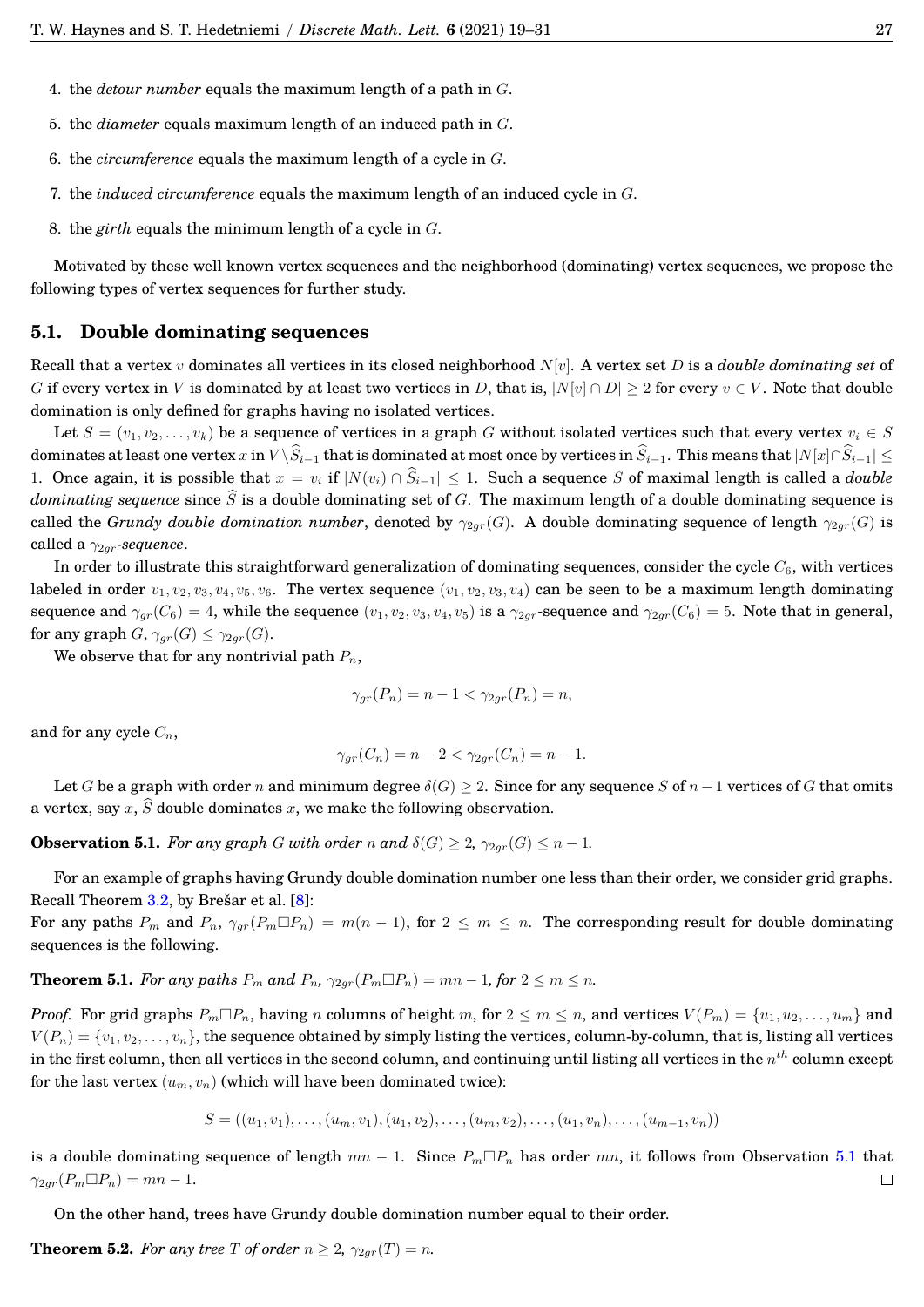- 4. the *detour number* equals the maximum length of a path in G.
- 5. the *diameter* equals maximum length of an induced path in G.
- 6. the *circumference* equals the maximum length of a cycle in G.
- 7. the *induced circumference* equals the maximum length of an induced cycle in G.
- 8. the *girth* equals the minimum length of a cycle in G.

Motivated by these well known vertex sequences and the neighborhood (dominating) vertex sequences, we propose the following types of vertex sequences for further study.

## **5.1. Double dominating sequences**

Recall that a vertex v dominates all vertices in its closed neighborhood N[v]. A vertex set D is a *double dominating set* of G if every vertex in V is dominated by at least two vertices in D, that is,  $|N[v] \cap D| \geq 2$  for every  $v \in V$ . Note that double domination is only defined for graphs having no isolated vertices.

Let  $S = (v_1, v_2, \ldots, v_k)$  be a sequence of vertices in a graph G without isolated vertices such that every vertex  $v_i \in S$ dominates at least one vertex x in  $V \setminus \widehat{S}_{i-1}$  that is dominated at most once by vertices in  $\widehat{S}_{i-1}$ . This means that  $|N[x] \cap \widehat{S}_{i-1}| \leq$ 1. Once again, it is possible that  $x = v_i$  if  $|N(v_i) \cap \hat{S}_{i-1}| \leq 1$ . Such a sequence S of maximal length is called a *double dominating sequence* since  $\widehat{S}$  is a double dominating set of G. The maximum length of a double dominating sequence is called the *Grundy double domination number*, denoted by  $\gamma_{2qr}(G)$ . A double dominating sequence of length  $\gamma_{2qr}(G)$  is called a γ2gr*-sequence*.

In order to illustrate this straightforward generalization of dominating sequences, consider the cycle  $C_6$ , with vertices labeled in order  $v_1, v_2, v_3, v_4, v_5, v_6$ . The vertex sequence  $(v_1, v_2, v_3, v_4)$  can be seen to be a maximum length dominating sequence and  $\gamma_{qr}(C_6) = 4$ , while the sequence  $(v_1, v_2, v_3, v_4, v_5)$  is a  $\gamma_{2qr}$ -sequence and  $\gamma_{2qr}(C_6) = 5$ . Note that in general, for any graph  $G$ ,  $\gamma_{gr}(G) \leq \gamma_{2gr}(G)$ .

We observe that for any nontrivial path  $P_n$ ,

$$
\gamma_{gr}(P_n) = n - 1 < \gamma_{2gr}(P_n) = n,
$$

and for any cycle  $C_n$ ,

$$
\gamma_{gr}(C_n) = n - 2 < \gamma_{2gr}(C_n) = n - 1.
$$

Let G be a graph with order n and minimum degree  $\delta(G) \geq 2$ . Since for any sequence S of  $n-1$  vertices of G that omits a vertex, say x,  $\widehat{S}$  double dominates x, we make the following observation.

<span id="page-10-0"></span>**Observation 5.1.** *For any graph* G *with order* n and  $\delta(G) \geq 2$ ,  $\gamma_{2ar}(G) \leq n - 1$ *.* 

For an example of graphs having Grundy double domination number one less than their order, we consider grid graphs. Recall Theorem  $3.2$ , by Brešar et al.  $[8]$  $[8]$ :

For any paths  $P_m$  and  $P_n$ ,  $\gamma_{gr}(P_m \Box P_n) = m(n-1)$ , for  $2 \leq m \leq n$ . The corresponding result for double dominating sequences is the following.

**Theorem 5.1.** *For any paths*  $P_m$  *and*  $P_n$ ,  $\gamma_{2gr}(P_m \Box P_n) = mn - 1$ *, for*  $2 \le m \le n$ *.* 

*Proof.* For grid graphs  $P_m \Box P_n$ , having n columns of height m, for  $2 \le m \le n$ , and vertices  $V(P_m) = \{u_1, u_2, \ldots, u_m\}$  and  $V(P_n) = \{v_1, v_2, \ldots, v_n\}$ , the sequence obtained by simply listing the vertices, column-by-column, that is, listing all vertices in the first column, then all vertices in the second column, and continuing until listing all vertices in the  $n^{th}$  column except for the last vertex  $(u_m, v_n)$  (which will have been dominated twice):

$$
S = ((u_1, v_1), \ldots, (u_m, v_1), (u_1, v_2), \ldots, (u_m, v_2), \ldots, (u_1, v_n), \ldots, (u_{m-1}, v_n))
$$

is a double dominating sequence of length  $mn - 1$ . Since  $P_m \Box P_n$  has order  $mn$ , it follows from Observation [5.1](#page-10-0) that  $\gamma_{2qr}(P_m \Box P_n) = mn - 1.$  $\Box$ 

On the other hand, trees have Grundy double domination number equal to their order.

**Theorem 5.2.** *For any tree T of order*  $n \geq 2$ ,  $\gamma_{2gr}(T) = n$ *.*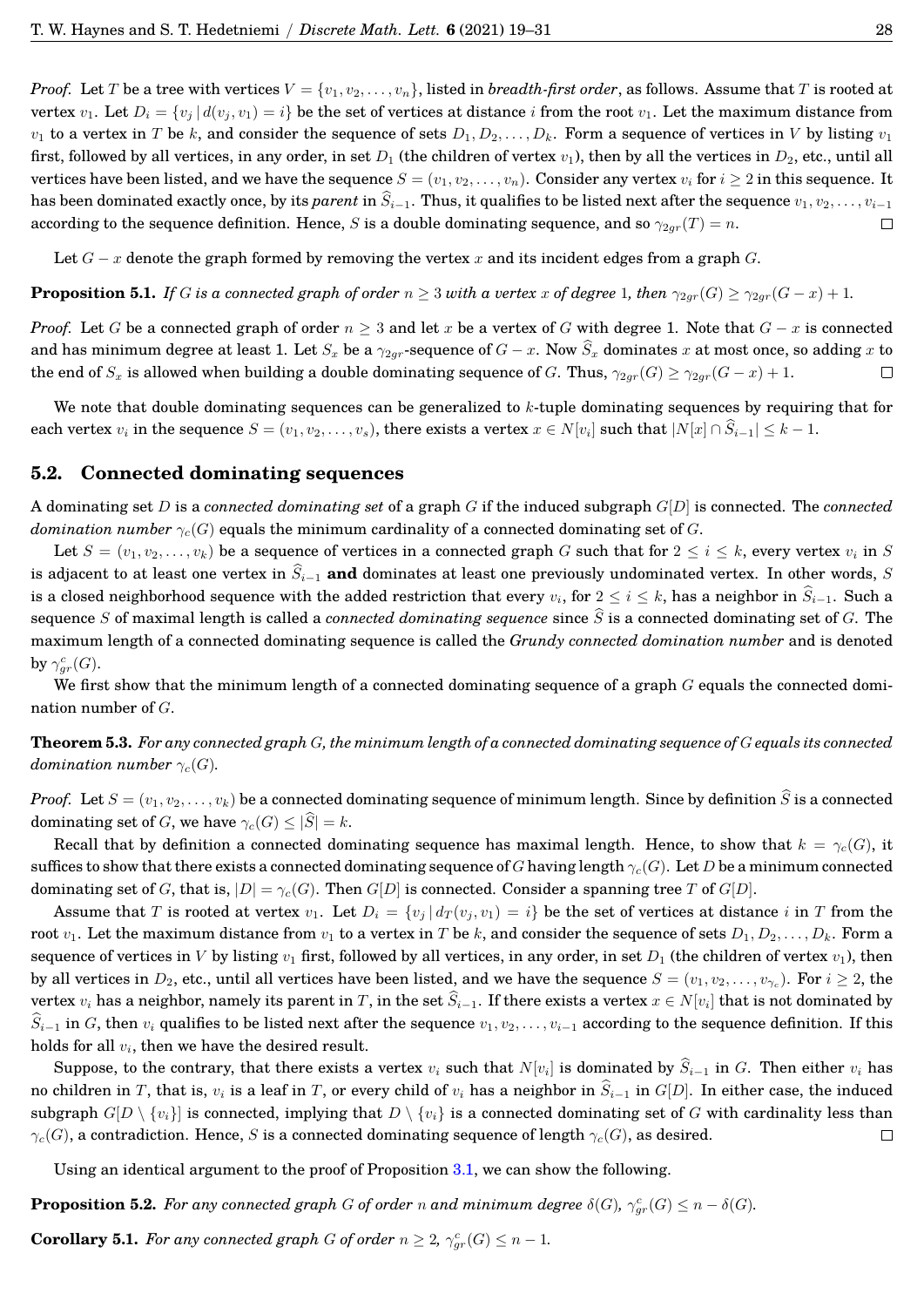*Proof.* Let T be a tree with vertices  $V = \{v_1, v_2, \ldots, v_n\}$ , listed in *breadth-first order*, as follows. Assume that T is rooted at vertex  $v_1$ . Let  $D_i = \{v_i | d(v_i, v_1) = i\}$  be the set of vertices at distance i from the root  $v_1$ . Let the maximum distance from  $v_1$  to a vertex in T be k, and consider the sequence of sets  $D_1, D_2, \ldots, D_k$ . Form a sequence of vertices in V by listing  $v_1$ first, followed by all vertices, in any order, in set  $D_1$  (the children of vertex  $v_1$ ), then by all the vertices in  $D_2$ , etc., until all vertices have been listed, and we have the sequence  $S = (v_1, v_2, \ldots, v_n)$ . Consider any vertex  $v_i$  for  $i \geq 2$  in this sequence. It has been dominated exactly once, by its *parent* in  $\hat{S}_{i-1}$ . Thus, it qualifies to be listed next after the sequence  $v_1, v_2, \ldots, v_{i-1}$  according to the sequence definition. Hence, *S* is a double dominating sequen according to the sequence definition. Hence, S is a double dominating sequence, and so  $\gamma_{2ar}(T) = n$ .

Let  $G - x$  denote the graph formed by removing the vertex x and its incident edges from a graph G.

**Proposition 5.1.** *If* G *is a connected graph of order*  $n \geq 3$  *with a vertex* x of degree 1, then  $\gamma_{2qr}(G) \geq \gamma_{2qr}(G-x) + 1$ .

*Proof.* Let G be a connected graph of order  $n \geq 3$  and let x be a vertex of G with degree 1. Note that  $G - x$  is connected and has minimum degree at least 1. Let  $S_x$  be a  $\gamma_{2gr}$ -sequence of  $G - x$ . Now  $\widehat{S}_x$  dominates x at most once, so adding x to the end of  $S_x$  is allowed when building a double dominating sequence of G. Thus,  $\gamma_{2ar}($ the end of  $S_x$  is allowed when building a double dominating sequence of G. Thus,  $\gamma_{2gr}(G) \geq \gamma_{2gr}(G-x) + 1$ .

We note that double dominating sequences can be generalized to  $k$ -tuple dominating sequences by requiring that for each vertex  $v_i$  in the sequence  $S = (v_1, v_2, \dots, v_s)$ , there exists a vertex  $x \in N[v_i]$  such that  $|N[x] \cap S_{i-1}| \leq k-1$ .

## **5.2. Connected dominating sequences**

A dominating set D is a *connected dominating set* of a graph G if the induced subgraph G[D] is connected. The *connected domination number*  $\gamma_c(G)$  equals the minimum cardinality of a connected dominating set of G.

Let  $S = (v_1, v_2, \ldots, v_k)$  be a sequence of vertices in a connected graph G such that for  $2 \le i \le k$ , every vertex  $v_i$  in S is adjacent to at least one vertex in  $\hat{S}_{i-1}$  and dominates at least one previously undominated vertex. In other words, S is a closed neighborhood sequence with the added restriction that every  $v_i$ , for  $2\leq i\leq k$ , has a neighbor in  $S_{i-1}.$  Such a sequence S of maximal length is called a *connected dominating sequence* since  $\hat{S}$  is a connected dominating set of G. The maximum length of a connected dominating sequence is called the *Grundy connected domination number* and is denoted by  $\gamma^c_{gr}(G)$ .

We first show that the minimum length of a connected dominating sequence of a graph  $G$  equals the connected domination number of G.

**Theorem 5.3.** *For any connected graph* G*, the minimum length of a connected dominating sequence of* G *equals its connected domination number*  $\gamma_c(G)$ *.* 

*Proof.* Let  $S = (v_1, v_2, \ldots, v_k)$  be a connected dominating sequence of minimum length. Since by definition  $\widehat{S}$  is a connected dominating set of G, we have  $\gamma_c(G) \leq |\widehat{S}| = k$ .

Recall that by definition a connected dominating sequence has maximal length. Hence, to show that  $k = \gamma_c(G)$ , it suffices to show that there exists a connected dominating sequence of G having length  $\gamma_c(G)$ . Let D be a minimum connected dominating set of G, that is,  $|D| = \gamma_c(G)$ . Then  $G[D]$  is connected. Consider a spanning tree T of  $G[D]$ .

Assume that T is rooted at vertex  $v_1$ . Let  $D_i = \{v_j | d_T(v_j, v_1) = i\}$  be the set of vertices at distance i in T from the root  $v_1$ . Let the maximum distance from  $v_1$  to a vertex in T be k, and consider the sequence of sets  $D_1, D_2, \ldots, D_k$ . Form a sequence of vertices in V by listing  $v_1$  first, followed by all vertices, in any order, in set  $D_1$  (the children of vertex  $v_1$ ), then by all vertices in  $D_2$ , etc., until all vertices have been listed, and we have the sequence  $S=(v_1,v_2,\ldots,v_{\gamma_c}).$  For  $i\geq 2,$  the vertex  $v_i$  has a neighbor, namely its parent in  $T$ , in the set  $S_{i-1}.$  If there exists a vertex  $x \in N[v_i]$  that is not dominated by  $\widehat{S}_{i-1}$  in G, then  $v_i$  qualifies to be listed next after the sequence  $v_1, v_2, \ldots, v_{i-1}$  according to the sequence definition. If this holds for all  $v_i$ , then we have the desired result.

Suppose, to the contrary, that there exists a vertex  $v_i$  such that  $N[v_i]$  is dominated by  $S_{i-1}$  in  $G$ . Then either  $v_i$  has no children in T, that is,  $v_i$  is a leaf in T, or every child of  $v_i$  has a neighbor in  $\hat{S}_{i-1}$  in  $G[D]$ . In either case, the induced subgraph  $G[D \setminus \{v_i\}]$  is connected, implying that  $D \setminus \{v_i\}$  is a connected dominating set of G with cardinality less than  $\gamma_c(G)$ , a contradiction. Hence, S is a connected dominating sequence of length  $\gamma_c(G)$ , as desired.  $\Box$ 

Using an identical argument to the proof of Proposition [3.1,](#page-5-2) we can show the following.

<span id="page-11-0"></span>**Proposition 5.2.** *For any connected graph* G *of order* n *and minimum degree*  $\delta(G)$ *,*  $\gamma_{gr}^c(G) \leq n - \delta(G)$ *.* 

**Corollary 5.1.** For any connected graph G of order  $n \geq 2$ ,  $\gamma_{gr}^c(G) \leq n-1$ .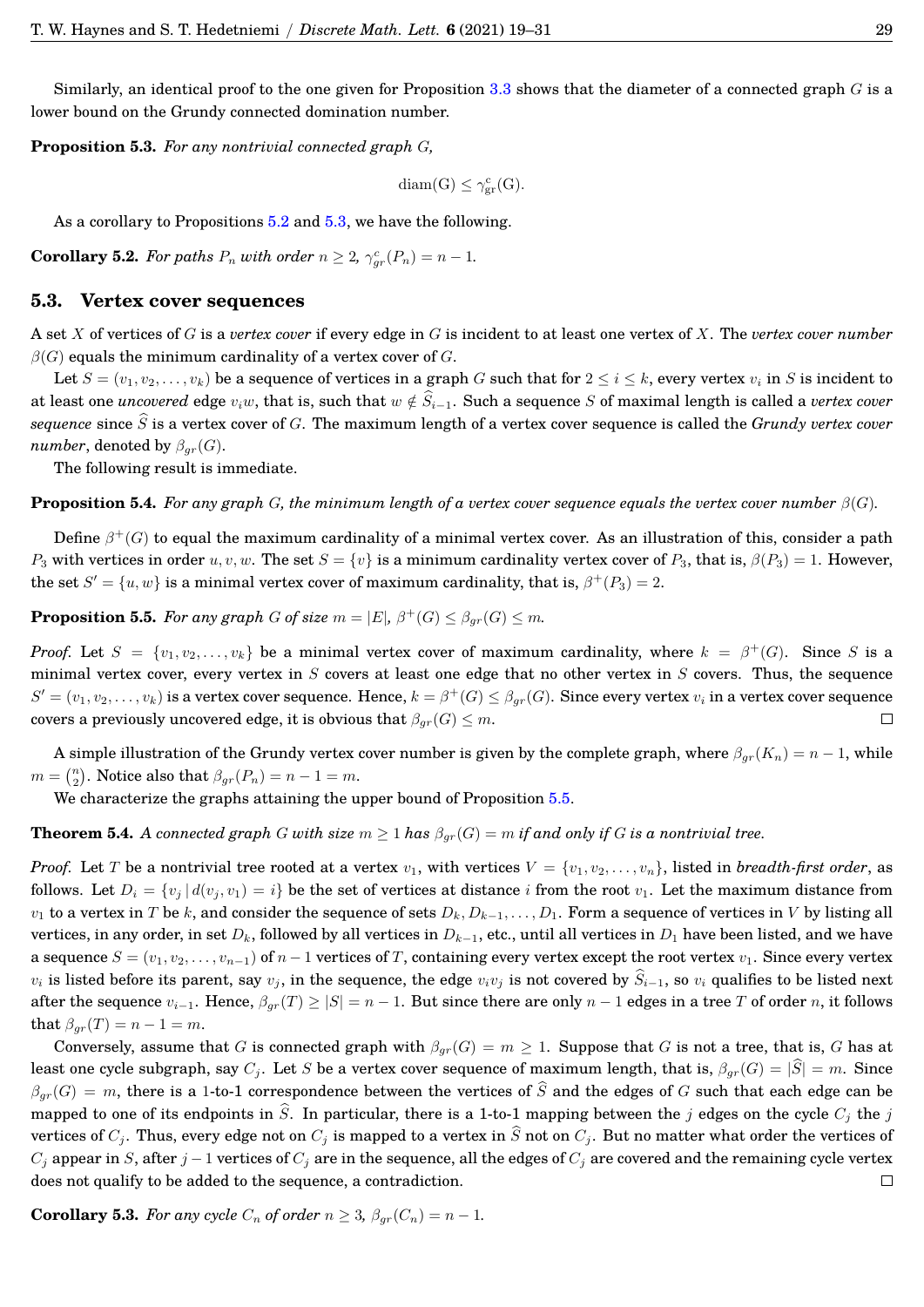Similarly, an identical proof to the one given for Proposition  $3.3$  shows that the diameter of a connected graph  $G$  is a lower bound on the Grundy connected domination number.

<span id="page-12-0"></span>**Proposition 5.3.** *For any nontrivial connected graph* G*,*

$$
diam(G) \leq \gamma_{gr}^{c}(G).
$$

As a corollary to Propositions [5.2](#page-11-0) and [5.3,](#page-12-0) we have the following.

**Corollary 5.2.** For paths  $P_n$  with order  $n \geq 2$ ,  $\gamma_{gr}^c(P_n) = n - 1$ .

#### **5.3. Vertex cover sequences**

A set X of vertices of G is a *vertex cover* if every edge in G is incident to at least one vertex of X. The *vertex cover number*  $\beta(G)$  equals the minimum cardinality of a vertex cover of G.

Let  $S = (v_1, v_2, \ldots, v_k)$  be a sequence of vertices in a graph G such that for  $2 \le i \le k$ , every vertex  $v_i$  in S is incident to at least one *uncovered* edge  $v_iw$ , that is, such that  $w \notin \widehat{S}_{i-1}$ . Such a sequence S of maximal length is called a *vertex cover sequence* since  $\hat{S}$  is a vertex cover of G. The maximum length of a vertex cover sequence is called the *Grundy vertex cover number*, denoted by  $\beta_{gr}(G)$ .

The following result is immediate.

**Proposition 5.4.** *For any graph* G, the minimum length of a vertex cover sequence equals the vertex cover number  $\beta(G)$ .

Define  $\beta^+(G)$  to equal the maximum cardinality of a minimal vertex cover. As an illustration of this, consider a path P<sub>3</sub> with vertices in order u, v, w. The set  $S = \{v\}$  is a minimum cardinality vertex cover of P<sub>3</sub>, that is,  $\beta(P_3) = 1$ . However, the set  $S' = \{u, w\}$  is a minimal vertex cover of maximum cardinality, that is,  $\beta^+(P_3) = 2$ .

<span id="page-12-1"></span>**Proposition 5.5.** *For any graph G of size*  $m = |E|$ ,  $\beta^+(G) \leq \beta_{gr}(G) \leq m$ *.* 

*Proof.* Let  $S = \{v_1, v_2, \ldots, v_k\}$  be a minimal vertex cover of maximum cardinality, where  $k = \beta^+(G)$ . Since S is a minimal vertex cover, every vertex in  $S$  covers at least one edge that no other vertex in  $S$  covers. Thus, the sequence  $S'=(v_1,v_2,\ldots,v_k)$  is a vertex cover sequence. Hence,  $k=\beta^+(G)\leq\beta_{gr}(G).$  Since every vertex  $v_i$  in a vertex cover sequence covers a previously uncovered edge, it is obvious that  $\beta_{qr}(G) \leq m$ .

A simple illustration of the Grundy vertex cover number is given by the complete graph, where  $\beta_{gr}(K_n) = n - 1$ , while  $m = \binom{n}{2}$ . Notice also that  $\beta_{gr}(P_n) = n - 1 = m$ .

We characterize the graphs attaining the upper bound of Proposition [5.5.](#page-12-1)

**Theorem 5.4.** *A connected graph* G with size  $m \geq 1$  has  $\beta_{gr}(G) = m$  if and only if G is a nontrivial tree.

*Proof.* Let T be a nontrivial tree rooted at a vertex  $v_1$ , with vertices  $V = \{v_1, v_2, \ldots, v_n\}$ , listed in *breadth-first order*, as follows. Let  $D_i = \{v_j | d(v_j, v_1) = i\}$  be the set of vertices at distance i from the root  $v_1$ . Let the maximum distance from  $v_1$  to a vertex in T be k, and consider the sequence of sets  $D_k, D_{k-1}, \ldots, D_1$ . Form a sequence of vertices in V by listing all vertices, in any order, in set  $D_k$ , followed by all vertices in  $D_{k-1}$ , etc., until all vertices in  $D_1$  have been listed, and we have a sequence  $S = (v_1, v_2, \ldots, v_{n-1})$  of  $n-1$  vertices of T, containing every vertex except the root vertex  $v_1$ . Since every vertex  $v_i$  is listed before its parent, say  $v_i$ , in the sequence, the edge  $v_i v_j$  is not covered by  $\hat{S}_{i-1}$ , so  $v_i$  qualifies to be listed next after the sequence  $v_{i-1}$ . Hence,  $\beta_{gr}(T) \geq |S| = n - 1$ . But since there are only  $n - 1$  edges in a tree T of order n, it follows that  $\beta_{gr}(T) = n - 1 = m$ .

Conversely, assume that G is connected graph with  $\beta_{qr}(G) = m \geq 1$ . Suppose that G is not a tree, that is, G has at least one cycle subgraph, say  $C_j$ . Let S be a vertex cover sequence of maximum length, that is,  $\beta_{gr}(G) = |\hat{S}| = m$ . Since  $\beta_{qr}(G) = m$ , there is a 1-to-1 correspondence between the vertices of  $\hat{S}$  and the edges of G such that each edge can be mapped to one of its endpoints in  $\hat{S}$ . In particular, there is a 1-to-1 mapping between the j edges on the cycle  $C_i$  the j vertices of  $C_j$ . Thus, every edge not on  $C_j$  is mapped to a vertex in  $\widehat{S}$  not on  $C_j$ . But no matter what order the vertices of  $C_j$  appear in S, after  $j-1$  vertices of  $C_j$  are in the sequence, all the edges of  $C_j$  are covered and the remaining cycle vertex does not qualify to be added to the sequence, a contradiction.  $\Box$ 

**Corollary 5.3.** *For any cycle*  $C_n$  *of order*  $n \geq 3$ ,  $\beta_{gr}(C_n) = n - 1$ *.*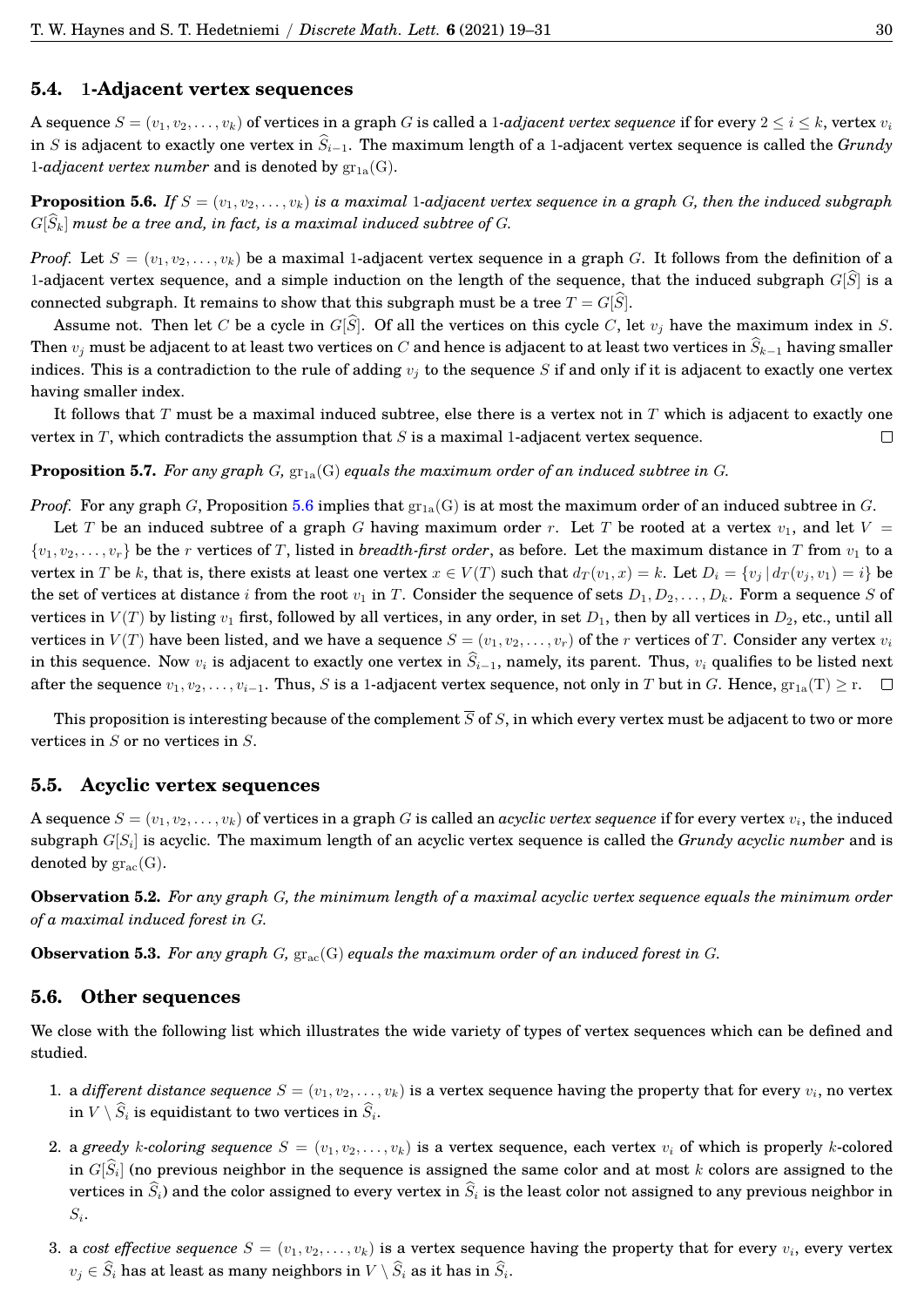#### **5.4.** 1**-Adjacent vertex sequences**

A sequence  $S = (v_1, v_2, \ldots, v_k)$  of vertices in a graph G is called a 1*-adjacent vertex sequence* if for every  $2 \le i \le k$ , vertex  $v_i$ in S is adjacent to exactly one vertex in  $\hat{S}_{i-1}$ . The maximum length of a 1-adjacent vertex sequence is called the *Grundy* 1-*adjacent vertex number* and is denoted by  $\text{gr}_{1a}(G)$ .

<span id="page-13-0"></span>**Proposition 5.6.** If  $S = (v_1, v_2, \ldots, v_k)$  is a maximal 1-adjacent vertex sequence in a graph G, then the induced subgraph  $G[\widehat{S}_k]$  must be a tree and, in fact, is a maximal induced subtree of G.

*Proof.* Let  $S = (v_1, v_2, \ldots, v_k)$  be a maximal 1-adjacent vertex sequence in a graph G. It follows from the definition of a 1-adjacent vertex sequence, and a simple induction on the length of the sequence, that the induced subgraph  $G[\widehat{S}]$  is a connected subgraph. It remains to show that this subgraph must be a tree  $T = G[\hat{S}]$ .

Assume not. Then let C be a cycle in  $G[\widehat{S}]$ . Of all the vertices on this cycle C, let  $v_i$  have the maximum index in S. Then  $v_j$  must be adjacent to at least two vertices on C and hence is adjacent to at least two vertices in  $\widehat{S}_{k-1}$  having smaller indices. This is a contradiction to the rule of adding  $v_i$  to the sequence S if and only if it is adjacent to exactly one vertex having smaller index.

It follows that  $T$  must be a maximal induced subtree, else there is a vertex not in  $T$  which is adjacent to exactly one vertex in  $T$ , which contradicts the assumption that  $S$  is a maximal 1-adjacent vertex sequence.  $\Box$ 

#### **Proposition 5.7.** For any graph  $G$ ,  $\text{gr}_{1a}(G)$  equals the maximum order of an induced subtree in  $G$ .

*Proof.* For any graph G, Proposition [5.6](#page-13-0) implies that  $\text{gr}_{1a}(G)$  is at most the maximum order of an induced subtree in G.

Let T be an induced subtree of a graph G having maximum order r. Let T be rooted at a vertex  $v_1$ , and let  $V =$  $\{v_1, v_2, \ldots, v_r\}$  be the r vertices of T, listed in *breadth-first order*, as before. Let the maximum distance in T from  $v_1$  to a vertex in T be k, that is, there exists at least one vertex  $x \in V(T)$  such that  $d_T(v_1, x) = k$ . Let  $D_i = \{v_i | d_T(v_i, v_1) = i\}$  be the set of vertices at distance i from the root  $v_1$  in T. Consider the sequence of sets  $D_1, D_2, \ldots, D_k$ . Form a sequence S of vertices in  $V(T)$  by listing  $v_1$  first, followed by all vertices, in any order, in set  $D_1$ , then by all vertices in  $D_2$ , etc., until all vertices in  $V(T)$  have been listed, and we have a sequence  $S = (v_1, v_2, \ldots, v_r)$  of the r vertices of T. Consider any vertex  $v_i$ in this sequence. Now  $v_i$  is adjacent to exactly one vertex in  $\widehat{S}_{i-1}$ , namely, its parent. Thus,  $v_i$  qualifies to be listed next after the sequence  $v_1, v_2, \ldots, v_{i-1}$ . Thus, S is a 1-adjacent vertex sequence, not only in T but in G. Hence,  $gr_{1a}(T) ≥ r$ .  $\Box$ 

This proposition is interesting because of the complement  $\overline{S}$  of S, in which every vertex must be adjacent to two or more vertices in  $S$  or no vertices in  $S$ .

#### **5.5. Acyclic vertex sequences**

A sequence  $S=(v_1,v_2,\ldots,v_k)$  of vertices in a graph  $G$  is called an  $acyclic$   $vertex$   $sequence$  if for every vertex  $v_i$ , the induced  ${\rm subgraph}\ G[S_i]$  is acyclic. The maximum length of an acyclic vertex sequence is called the  $Grundy$   $acyclic$   $number$  and is denoted by  $gr_{ac}(G)$ .

**Observation 5.2.** *For any graph* G*, the minimum length of a maximal acyclic vertex sequence equals the minimum order of a maximal induced forest in* G*.*

**Observation 5.3.** For any graph G,  $\text{gr}_{ac}(G)$  equals the maximum order of an induced forest in G.

#### **5.6. Other sequences**

We close with the following list which illustrates the wide variety of types of vertex sequences which can be defined and studied.

- 1. a *different distance sequence*  $S = (v_1, v_2, \ldots, v_k)$  is a vertex sequence having the property that for every  $v_i$ , no vertex in  $V \setminus S_i$  is equidistant to two vertices in  $S_i$ .
- 2. a *greedy* k-coloring sequence  $S = (v_1, v_2, \ldots, v_k)$  is a vertex sequence, each vertex  $v_i$  of which is properly k-colored in  $G[S_i]$  (no previous neighbor in the sequence is assigned the same color and at most  $k$  colors are assigned to the vertices in  $\widehat{S}_i$ ) and the color assigned to every vertex in  $\widehat{S}_i$  is the least color not assigned to any previous neighbor in  $S_i.$
- 3. a *cost effective sequence*  $S = (v_1, v_2, \ldots, v_k)$  is a vertex sequence having the property that for every  $v_i$ , every vertex  $v_j \in S_i$  has at least as many neighbors in  $V \setminus S_i$  as it has in  $S_i$ .